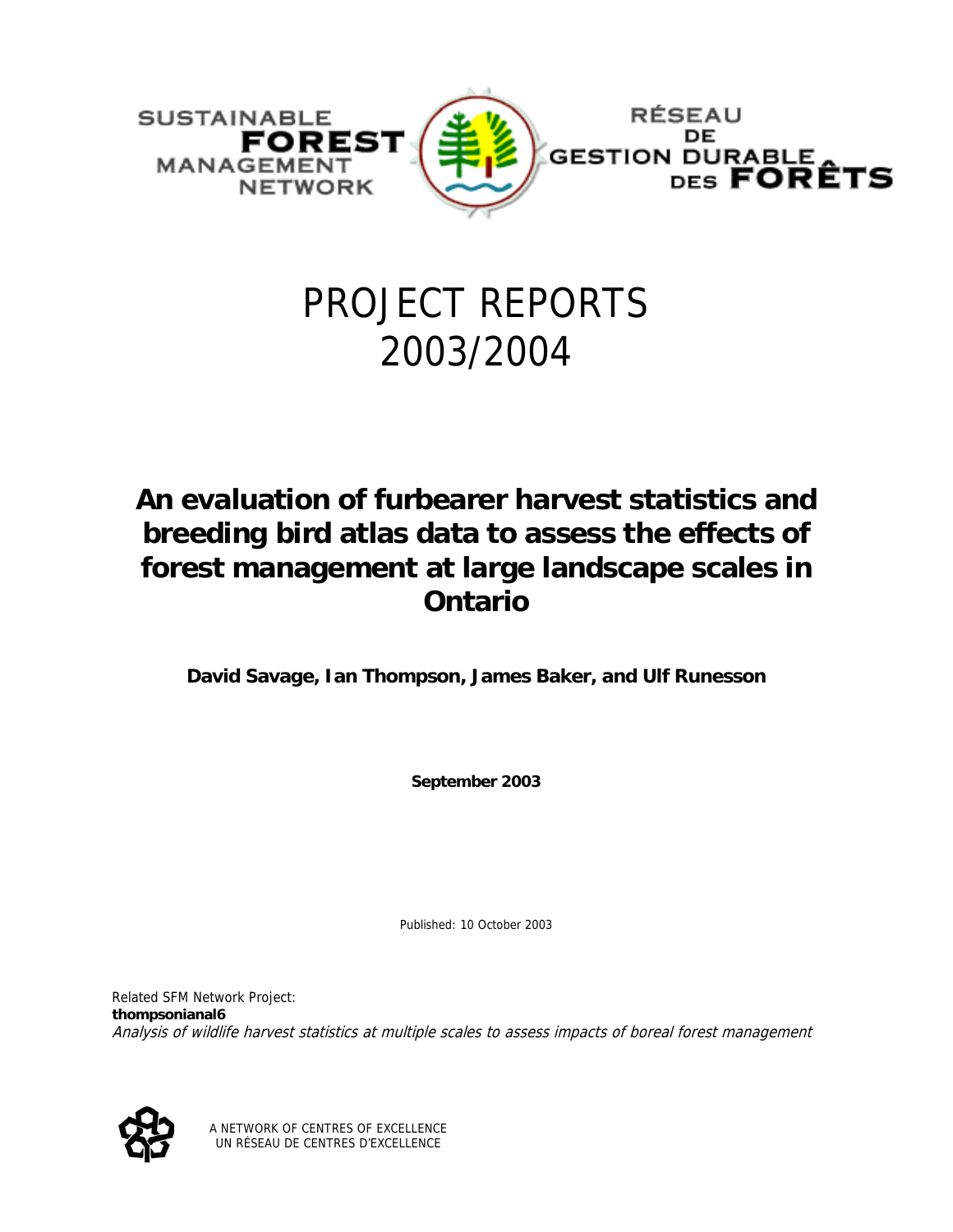

# PROJECT REPORTS 2003/2004

# **An evaluation of furbearer harvest statistics and breeding bird atlas data to assess the effects of forest management at large landscape scales in Ontario**

**David Savage, Ian Thompson, James Baker, and Ulf Runesson** 

**September 2003** 

Published: 10 October 2003

Related SFM Network Project: **thompsonianal6** Analysis of wildlife harvest statistics at multiple scales to assess impacts of boreal forest management



A NETWORK OF CENTRES OF EXCELLENCE UN RÉSEAU DE CENTRES D'EXCELLENCE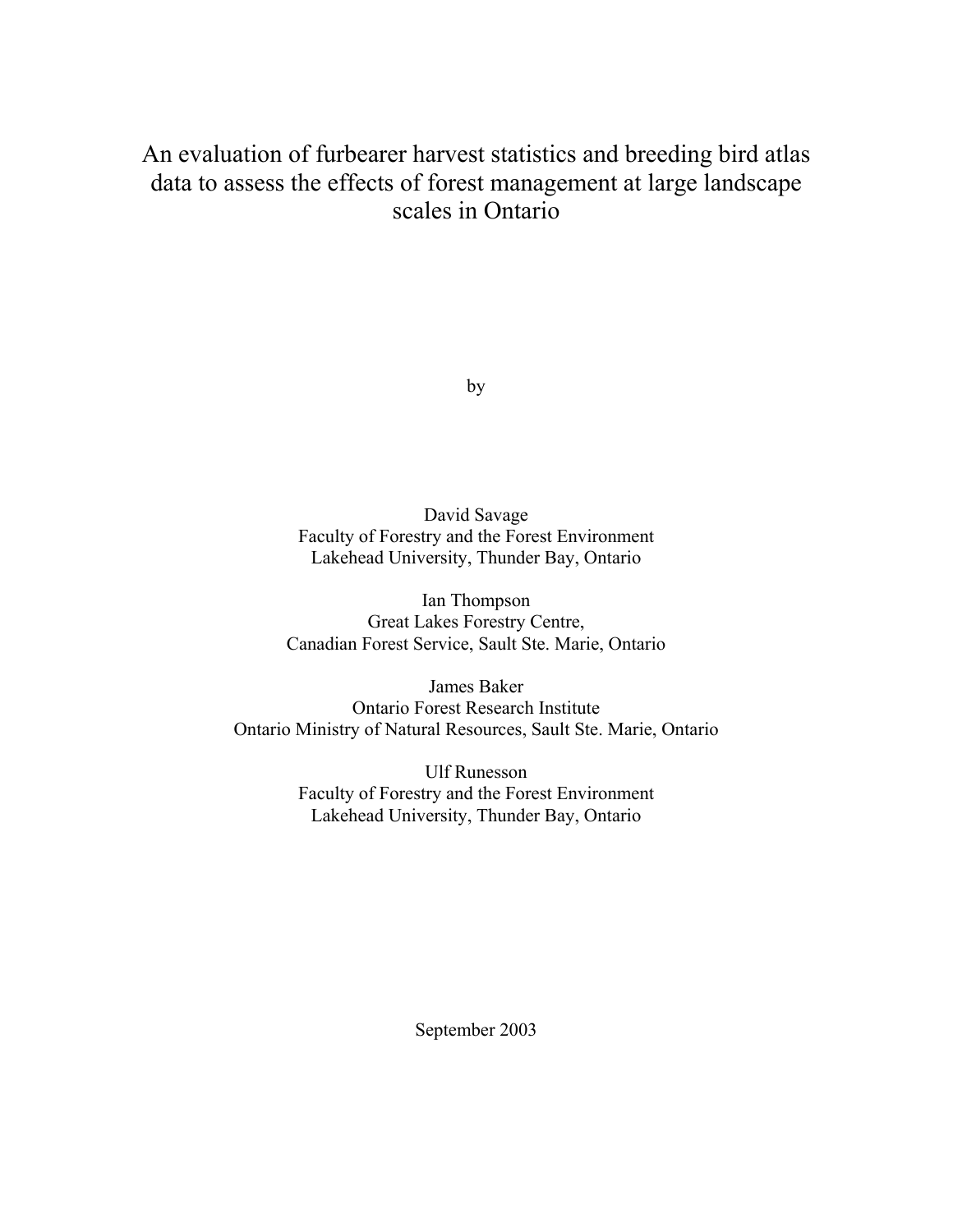# An evaluation of furbearer harvest statistics and breeding bird atlas data to assess the effects of forest management at large landscape scales in Ontario

by

David Savage Faculty of Forestry and the Forest Environment Lakehead University, Thunder Bay, Ontario

Ian Thompson Great Lakes Forestry Centre, Canadian Forest Service, Sault Ste. Marie, Ontario

James Baker Ontario Forest Research Institute Ontario Ministry of Natural Resources, Sault Ste. Marie, Ontario

> Ulf Runesson Faculty of Forestry and the Forest Environment Lakehead University, Thunder Bay, Ontario

> > September 2003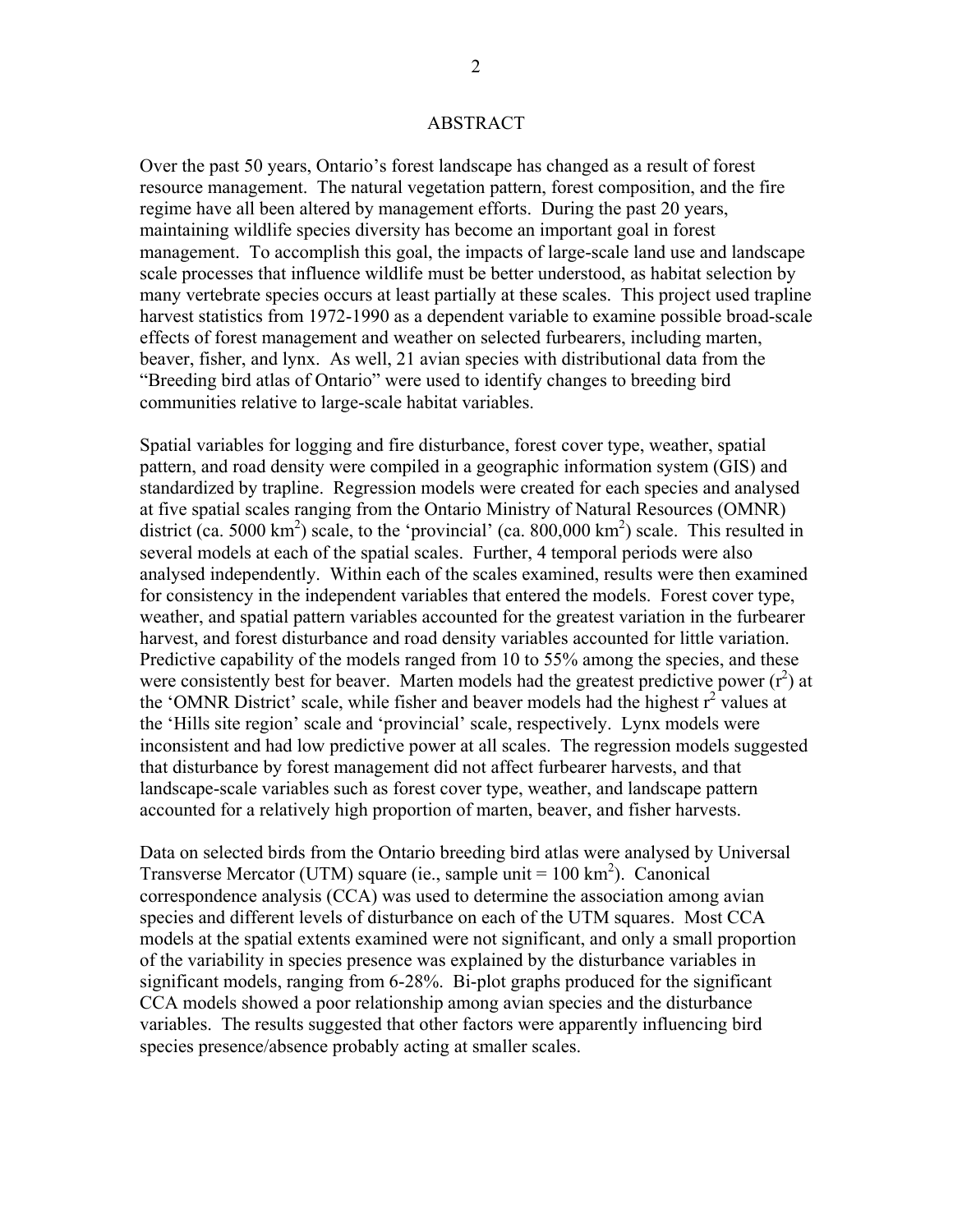# ABSTRACT

Over the past 50 years, Ontario's forest landscape has changed as a result of forest resource management. The natural vegetation pattern, forest composition, and the fire regime have all been altered by management efforts. During the past 20 years, maintaining wildlife species diversity has become an important goal in forest management. To accomplish this goal, the impacts of large-scale land use and landscape scale processes that influence wildlife must be better understood, as habitat selection by many vertebrate species occurs at least partially at these scales. This project used trapline harvest statistics from 1972-1990 as a dependent variable to examine possible broad-scale effects of forest management and weather on selected furbearers, including marten, beaver, fisher, and lynx. As well, 21 avian species with distributional data from the "Breeding bird atlas of Ontario" were used to identify changes to breeding bird communities relative to large-scale habitat variables.

Spatial variables for logging and fire disturbance, forest cover type, weather, spatial pattern, and road density were compiled in a geographic information system (GIS) and standardized by trapline. Regression models were created for each species and analysed at five spatial scales ranging from the Ontario Ministry of Natural Resources (OMNR) district (ca. 5000 km<sup>2</sup>) scale, to the 'provincial' (ca.  $800,000$  km<sup>2</sup>) scale. This resulted in several models at each of the spatial scales. Further, 4 temporal periods were also analysed independently. Within each of the scales examined, results were then examined for consistency in the independent variables that entered the models. Forest cover type, weather, and spatial pattern variables accounted for the greatest variation in the furbearer harvest, and forest disturbance and road density variables accounted for little variation. Predictive capability of the models ranged from 10 to 55% among the species, and these were consistently best for beaver. Marten models had the greatest predictive power  $(r^2)$  at the 'OMNR District' scale, while fisher and beaver models had the highest  $r^2$  values at the 'Hills site region' scale and 'provincial' scale, respectively. Lynx models were inconsistent and had low predictive power at all scales. The regression models suggested that disturbance by forest management did not affect furbearer harvests, and that landscape-scale variables such as forest cover type, weather, and landscape pattern accounted for a relatively high proportion of marten, beaver, and fisher harvests.

Data on selected birds from the Ontario breeding bird atlas were analysed by Universal Transverse Mercator (UTM) square (ie., sample unit  $= 100 \text{ km}^2$ ). Canonical correspondence analysis (CCA) was used to determine the association among avian species and different levels of disturbance on each of the UTM squares. Most CCA models at the spatial extents examined were not significant, and only a small proportion of the variability in species presence was explained by the disturbance variables in significant models, ranging from 6-28%. Bi-plot graphs produced for the significant CCA models showed a poor relationship among avian species and the disturbance variables. The results suggested that other factors were apparently influencing bird species presence/absence probably acting at smaller scales.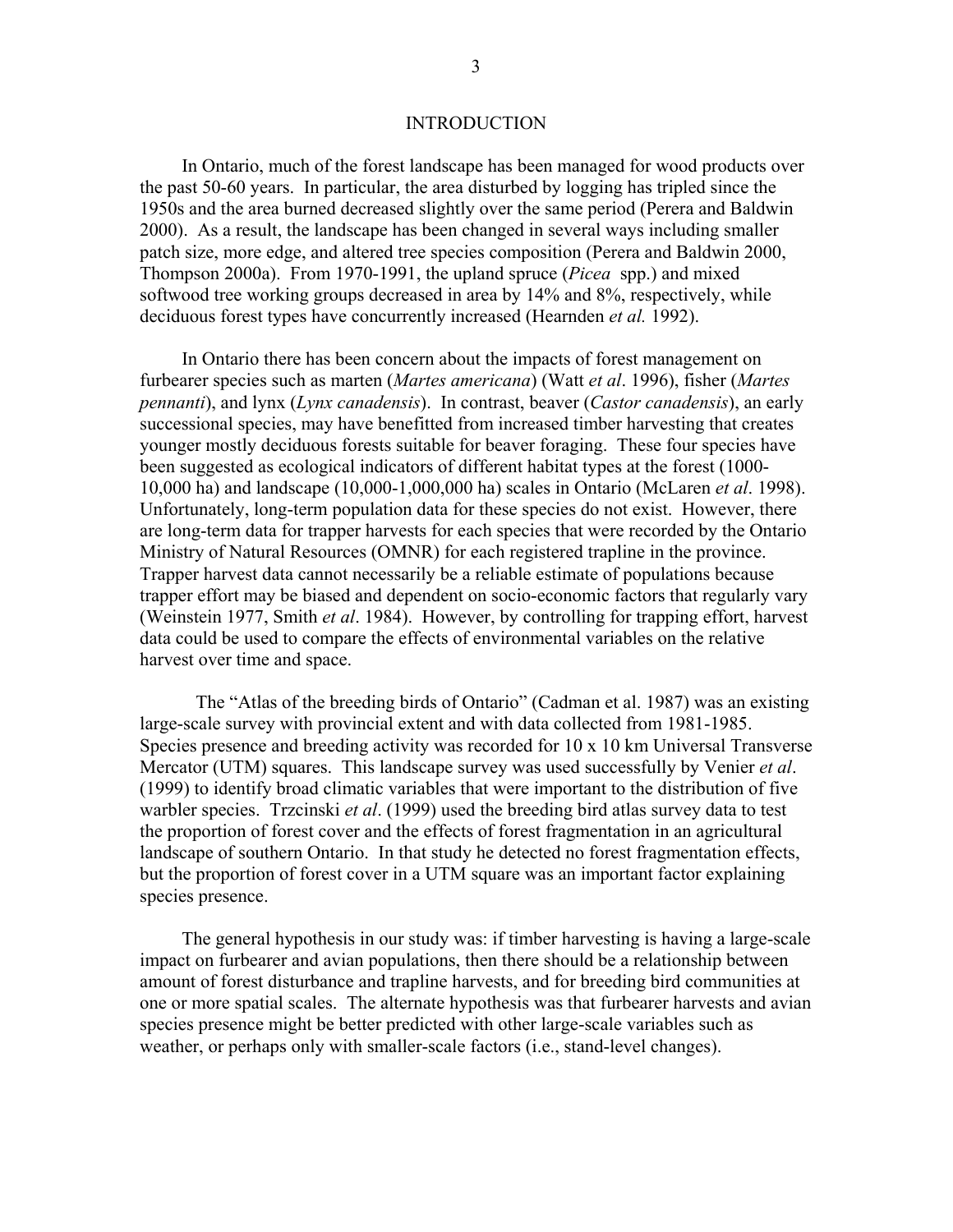# INTRODUCTION

In Ontario, much of the forest landscape has been managed for wood products over the past 50-60 years. In particular, the area disturbed by logging has tripled since the 1950s and the area burned decreased slightly over the same period (Perera and Baldwin 2000). As a result, the landscape has been changed in several ways including smaller patch size, more edge, and altered tree species composition (Perera and Baldwin 2000, Thompson 2000a). From 1970-1991, the upland spruce (*Picea* spp.) and mixed softwood tree working groups decreased in area by 14% and 8%, respectively, while deciduous forest types have concurrently increased (Hearnden *et al.* 1992).

In Ontario there has been concern about the impacts of forest management on furbearer species such as marten (*Martes americana*) (Watt *et al*. 1996), fisher (*Martes pennanti*), and lynx (*Lynx canadensis*). In contrast, beaver (*Castor canadensis*), an early successional species, may have benefitted from increased timber harvesting that creates younger mostly deciduous forests suitable for beaver foraging. These four species have been suggested as ecological indicators of different habitat types at the forest (1000- 10,000 ha) and landscape (10,000-1,000,000 ha) scales in Ontario (McLaren *et al*. 1998). Unfortunately, long-term population data for these species do not exist. However, there are long-term data for trapper harvests for each species that were recorded by the Ontario Ministry of Natural Resources (OMNR) for each registered trapline in the province. Trapper harvest data cannot necessarily be a reliable estimate of populations because trapper effort may be biased and dependent on socio-economic factors that regularly vary (Weinstein 1977, Smith *et al*. 1984). However, by controlling for trapping effort, harvest data could be used to compare the effects of environmental variables on the relative harvest over time and space.

The "Atlas of the breeding birds of Ontario" (Cadman et al. 1987) was an existing large-scale survey with provincial extent and with data collected from 1981-1985. Species presence and breeding activity was recorded for 10 x 10 km Universal Transverse Mercator (UTM) squares. This landscape survey was used successfully by Venier *et al*. (1999) to identify broad climatic variables that were important to the distribution of five warbler species. Trzcinski *et al*. (1999) used the breeding bird atlas survey data to test the proportion of forest cover and the effects of forest fragmentation in an agricultural landscape of southern Ontario. In that study he detected no forest fragmentation effects, but the proportion of forest cover in a UTM square was an important factor explaining species presence.

The general hypothesis in our study was: if timber harvesting is having a large-scale impact on furbearer and avian populations, then there should be a relationship between amount of forest disturbance and trapline harvests, and for breeding bird communities at one or more spatial scales. The alternate hypothesis was that furbearer harvests and avian species presence might be better predicted with other large-scale variables such as weather, or perhaps only with smaller-scale factors (i.e., stand-level changes).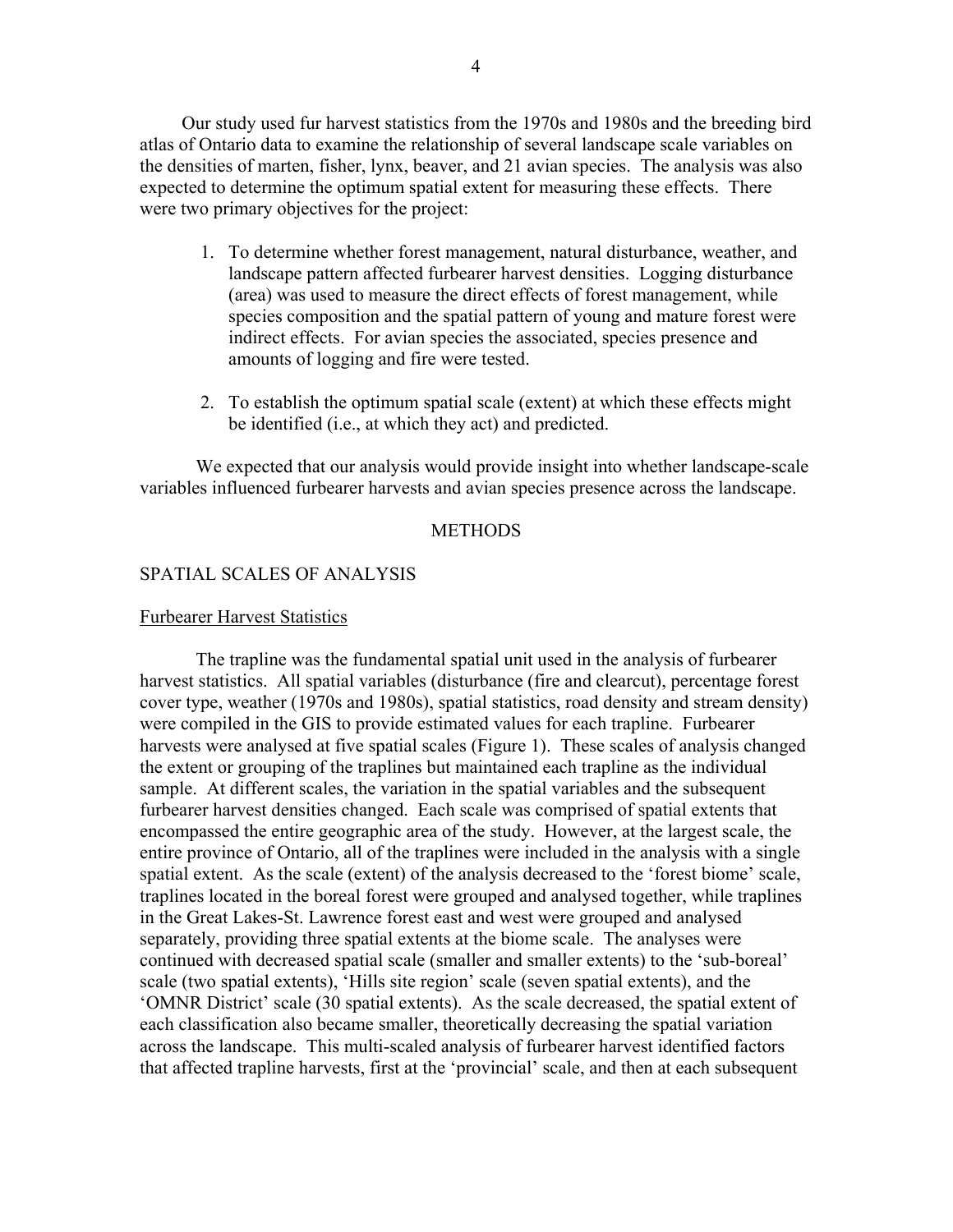4

Our study used fur harvest statistics from the 1970s and 1980s and the breeding bird atlas of Ontario data to examine the relationship of several landscape scale variables on the densities of marten, fisher, lynx, beaver, and 21 avian species. The analysis was also expected to determine the optimum spatial extent for measuring these effects. There were two primary objectives for the project:

- 1. To determine whether forest management, natural disturbance, weather, and landscape pattern affected furbearer harvest densities. Logging disturbance (area) was used to measure the direct effects of forest management, while species composition and the spatial pattern of young and mature forest were indirect effects. For avian species the associated, species presence and amounts of logging and fire were tested.
- 2. To establish the optimum spatial scale (extent) at which these effects might be identified (i.e., at which they act) and predicted.

We expected that our analysis would provide insight into whether landscape-scale variables influenced furbearer harvests and avian species presence across the landscape.

# **METHODS**

# SPATIAL SCALES OF ANALYSIS

# Furbearer Harvest Statistics

 The trapline was the fundamental spatial unit used in the analysis of furbearer harvest statistics. All spatial variables (disturbance (fire and clearcut), percentage forest cover type, weather (1970s and 1980s), spatial statistics, road density and stream density) were compiled in the GIS to provide estimated values for each trapline. Furbearer harvests were analysed at five spatial scales (Figure 1). These scales of analysis changed the extent or grouping of the traplines but maintained each trapline as the individual sample. At different scales, the variation in the spatial variables and the subsequent furbearer harvest densities changed. Each scale was comprised of spatial extents that encompassed the entire geographic area of the study. However, at the largest scale, the entire province of Ontario, all of the traplines were included in the analysis with a single spatial extent. As the scale (extent) of the analysis decreased to the 'forest biome' scale, traplines located in the boreal forest were grouped and analysed together, while traplines in the Great Lakes-St. Lawrence forest east and west were grouped and analysed separately, providing three spatial extents at the biome scale. The analyses were continued with decreased spatial scale (smaller and smaller extents) to the 'sub-boreal' scale (two spatial extents), 'Hills site region' scale (seven spatial extents), and the 'OMNR District' scale (30 spatial extents). As the scale decreased, the spatial extent of each classification also became smaller, theoretically decreasing the spatial variation across the landscape. This multi-scaled analysis of furbearer harvest identified factors that affected trapline harvests, first at the 'provincial' scale, and then at each subsequent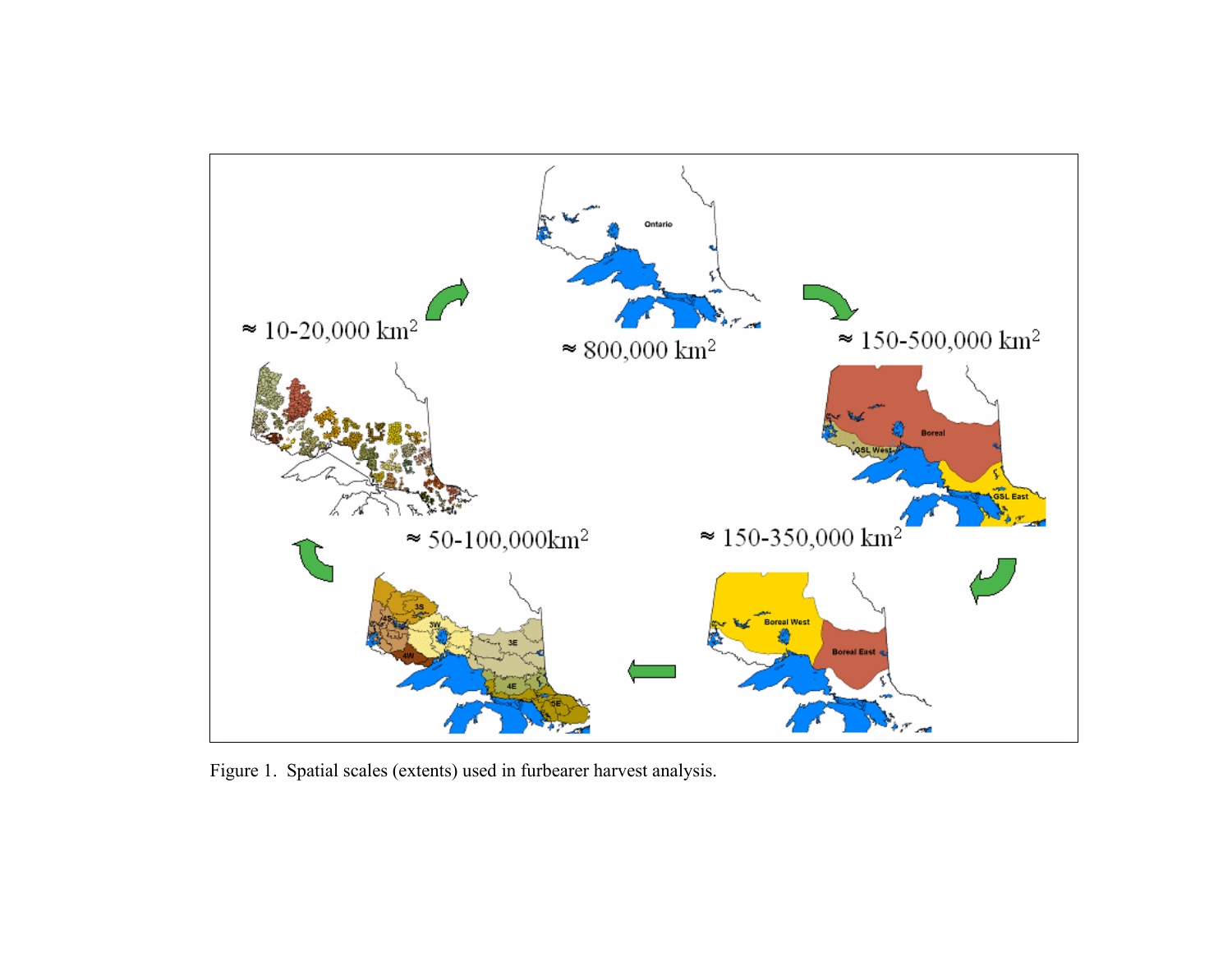

Figure 1. Spatial scales (extents) used in furbearer harvest analysis.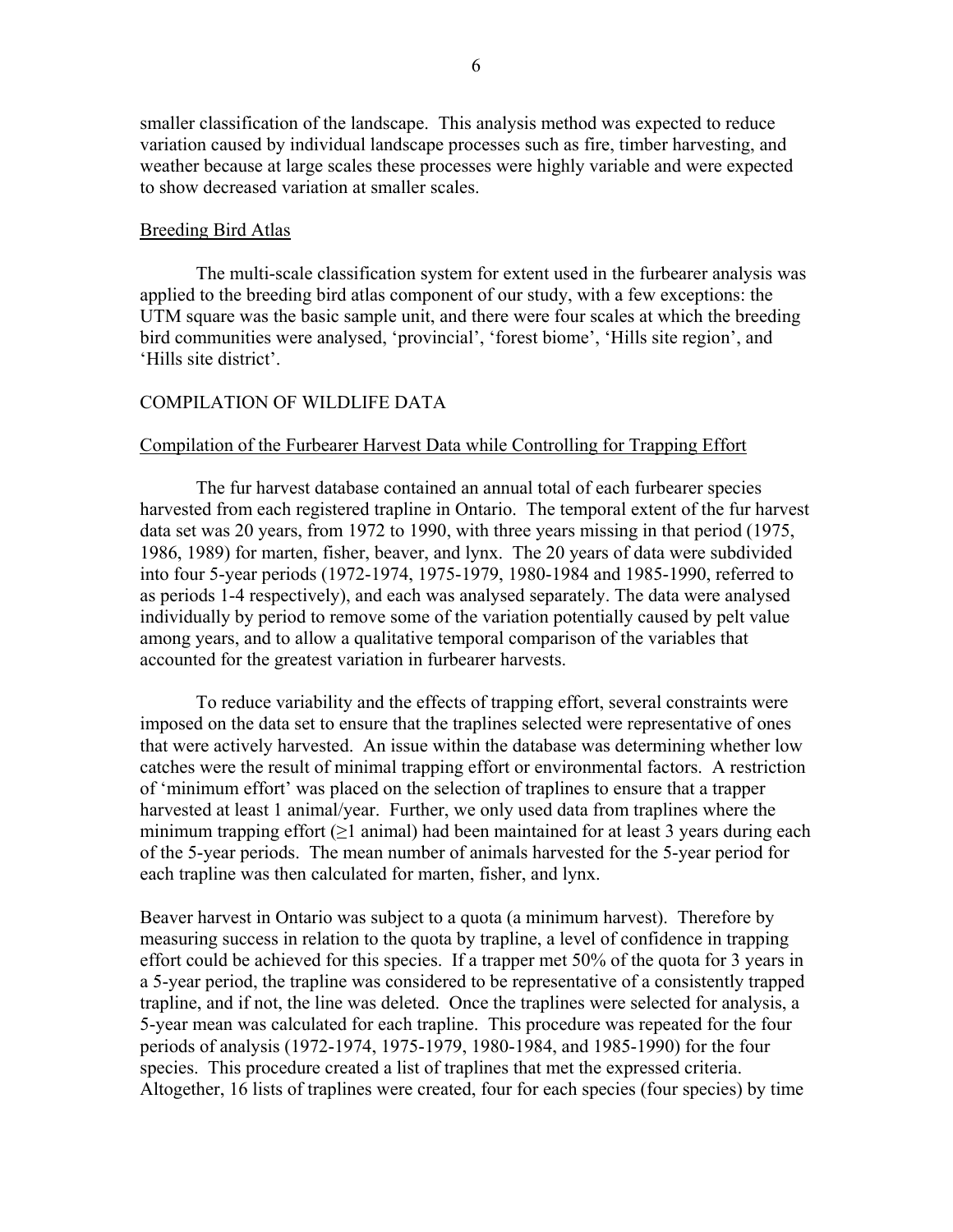smaller classification of the landscape. This analysis method was expected to reduce variation caused by individual landscape processes such as fire, timber harvesting, and weather because at large scales these processes were highly variable and were expected to show decreased variation at smaller scales.

# Breeding Bird Atlas

 The multi-scale classification system for extent used in the furbearer analysis was applied to the breeding bird atlas component of our study, with a few exceptions: the UTM square was the basic sample unit, and there were four scales at which the breeding bird communities were analysed, 'provincial', 'forest biome', 'Hills site region', and 'Hills site district'.

# COMPILATION OF WILDLIFE DATA

# Compilation of the Furbearer Harvest Data while Controlling for Trapping Effort

The fur harvest database contained an annual total of each furbearer species harvested from each registered trapline in Ontario. The temporal extent of the fur harvest data set was 20 years, from 1972 to 1990, with three years missing in that period (1975, 1986, 1989) for marten, fisher, beaver, and lynx. The 20 years of data were subdivided into four 5-year periods (1972-1974, 1975-1979, 1980-1984 and 1985-1990, referred to as periods 1-4 respectively), and each was analysed separately. The data were analysed individually by period to remove some of the variation potentially caused by pelt value among years, and to allow a qualitative temporal comparison of the variables that accounted for the greatest variation in furbearer harvests.

To reduce variability and the effects of trapping effort, several constraints were imposed on the data set to ensure that the traplines selected were representative of ones that were actively harvested. An issue within the database was determining whether low catches were the result of minimal trapping effort or environmental factors. A restriction of 'minimum effort' was placed on the selection of traplines to ensure that a trapper harvested at least 1 animal/year. Further, we only used data from traplines where the minimum trapping effort ( $\geq$ 1 animal) had been maintained for at least 3 years during each of the 5-year periods. The mean number of animals harvested for the 5-year period for each trapline was then calculated for marten, fisher, and lynx.

Beaver harvest in Ontario was subject to a quota (a minimum harvest). Therefore by measuring success in relation to the quota by trapline, a level of confidence in trapping effort could be achieved for this species. If a trapper met 50% of the quota for 3 years in a 5-year period, the trapline was considered to be representative of a consistently trapped trapline, and if not, the line was deleted. Once the traplines were selected for analysis, a 5-year mean was calculated for each trapline. This procedure was repeated for the four periods of analysis (1972-1974, 1975-1979, 1980-1984, and 1985-1990) for the four species. This procedure created a list of traplines that met the expressed criteria. Altogether, 16 lists of traplines were created, four for each species (four species) by time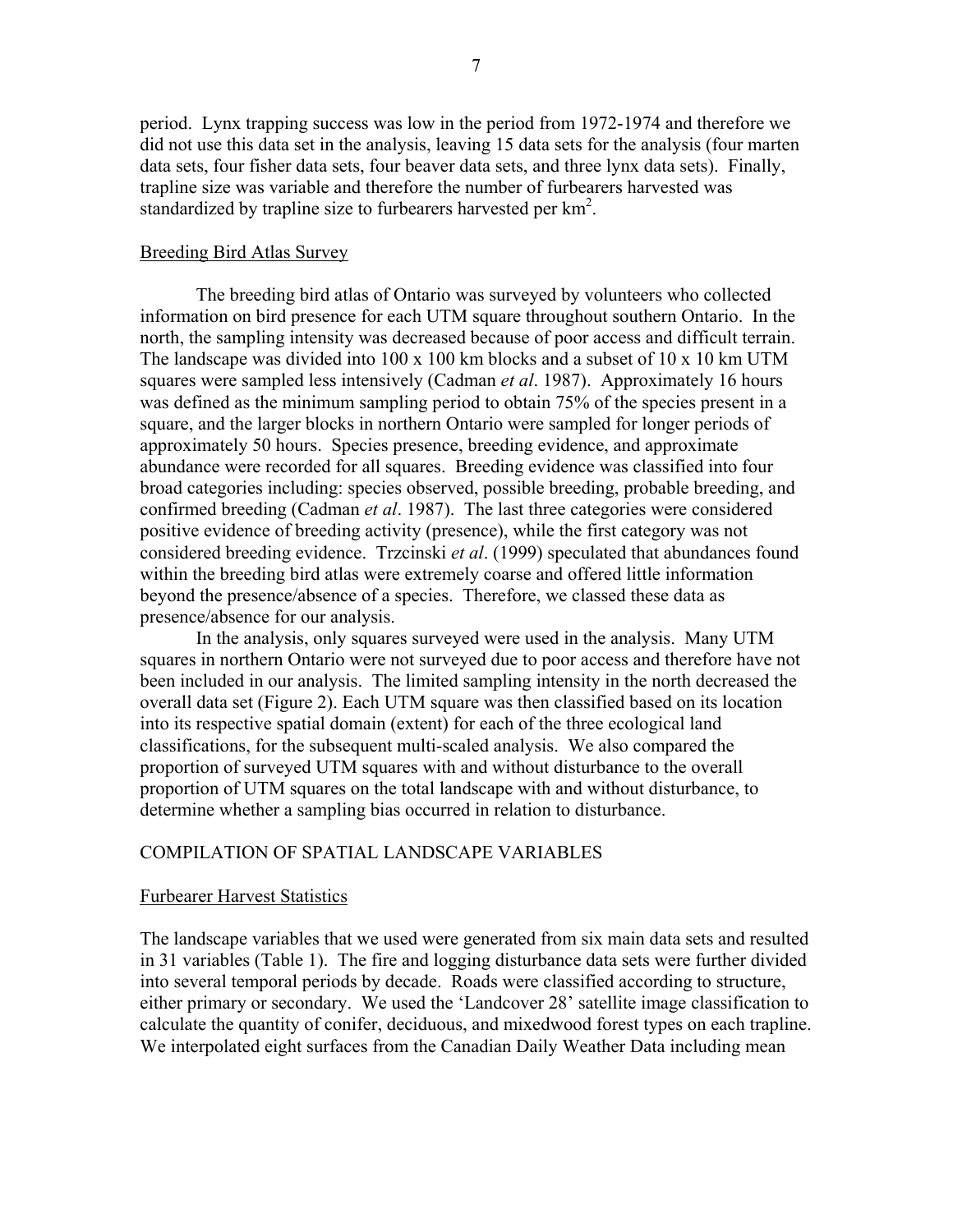period. Lynx trapping success was low in the period from 1972-1974 and therefore we did not use this data set in the analysis, leaving 15 data sets for the analysis (four marten data sets, four fisher data sets, four beaver data sets, and three lynx data sets). Finally, trapline size was variable and therefore the number of furbearers harvested was standardized by trapline size to furbearers harvested per  $km<sup>2</sup>$ .

# Breeding Bird Atlas Survey

The breeding bird atlas of Ontario was surveyed by volunteers who collected information on bird presence for each UTM square throughout southern Ontario. In the north, the sampling intensity was decreased because of poor access and difficult terrain. The landscape was divided into 100 x 100 km blocks and a subset of 10 x 10 km UTM squares were sampled less intensively (Cadman *et al*. 1987). Approximately 16 hours was defined as the minimum sampling period to obtain 75% of the species present in a square, and the larger blocks in northern Ontario were sampled for longer periods of approximately 50 hours. Species presence, breeding evidence, and approximate abundance were recorded for all squares. Breeding evidence was classified into four broad categories including: species observed, possible breeding, probable breeding, and confirmed breeding (Cadman *et al*. 1987). The last three categories were considered positive evidence of breeding activity (presence), while the first category was not considered breeding evidence. Trzcinski *et al*. (1999) speculated that abundances found within the breeding bird atlas were extremely coarse and offered little information beyond the presence/absence of a species. Therefore, we classed these data as presence/absence for our analysis.

In the analysis, only squares surveyed were used in the analysis. Many UTM squares in northern Ontario were not surveyed due to poor access and therefore have not been included in our analysis. The limited sampling intensity in the north decreased the overall data set (Figure 2). Each UTM square was then classified based on its location into its respective spatial domain (extent) for each of the three ecological land classifications, for the subsequent multi-scaled analysis. We also compared the proportion of surveyed UTM squares with and without disturbance to the overall proportion of UTM squares on the total landscape with and without disturbance, to determine whether a sampling bias occurred in relation to disturbance.

# COMPILATION OF SPATIAL LANDSCAPE VARIABLES

#### Furbearer Harvest Statistics

The landscape variables that we used were generated from six main data sets and resulted in 31 variables (Table 1). The fire and logging disturbance data sets were further divided into several temporal periods by decade. Roads were classified according to structure, either primary or secondary. We used the 'Landcover 28' satellite image classification to calculate the quantity of conifer, deciduous, and mixedwood forest types on each trapline. We interpolated eight surfaces from the Canadian Daily Weather Data including mean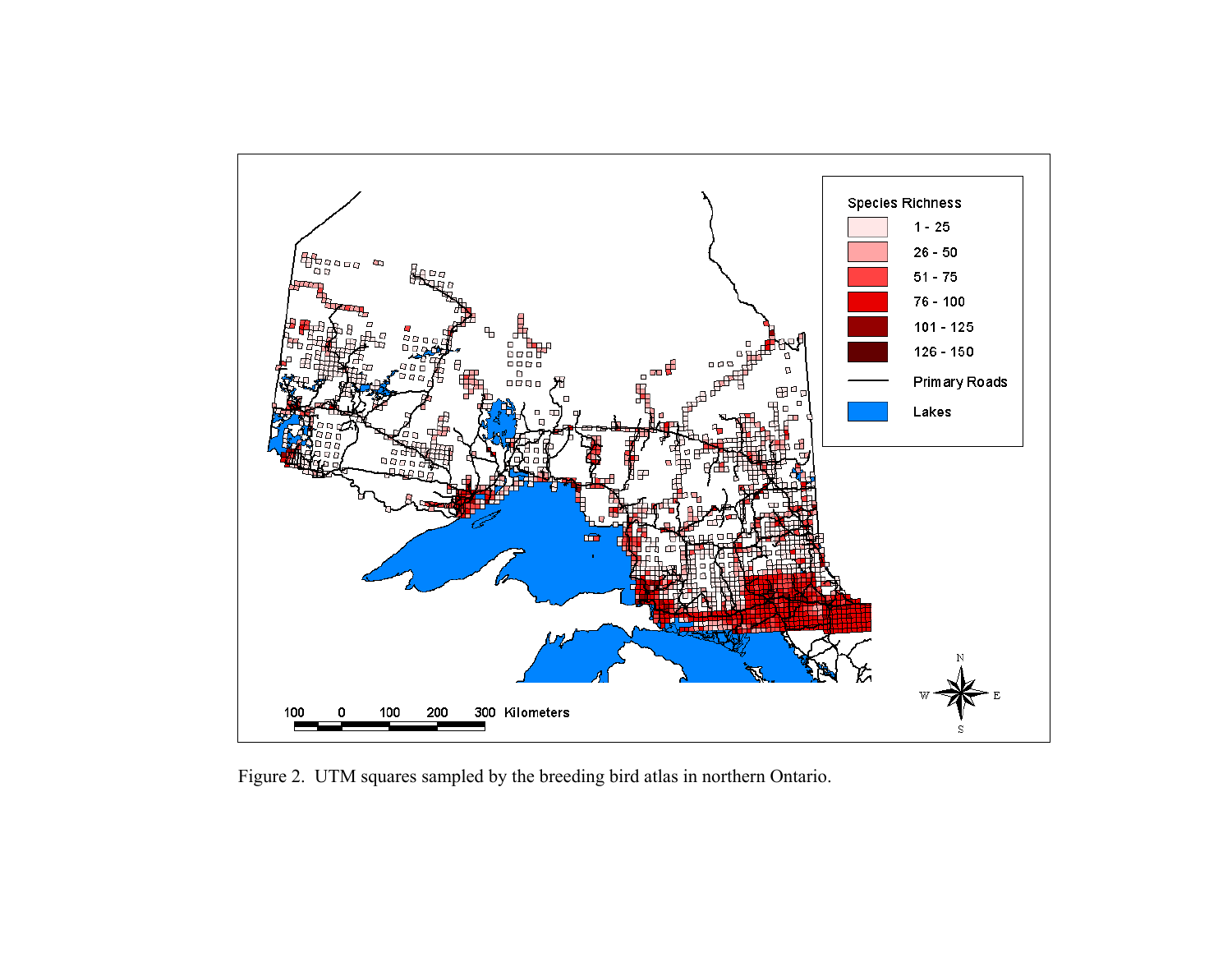

Figure 2. UTM squares sampled by the breeding bird atlas in northern Ontario.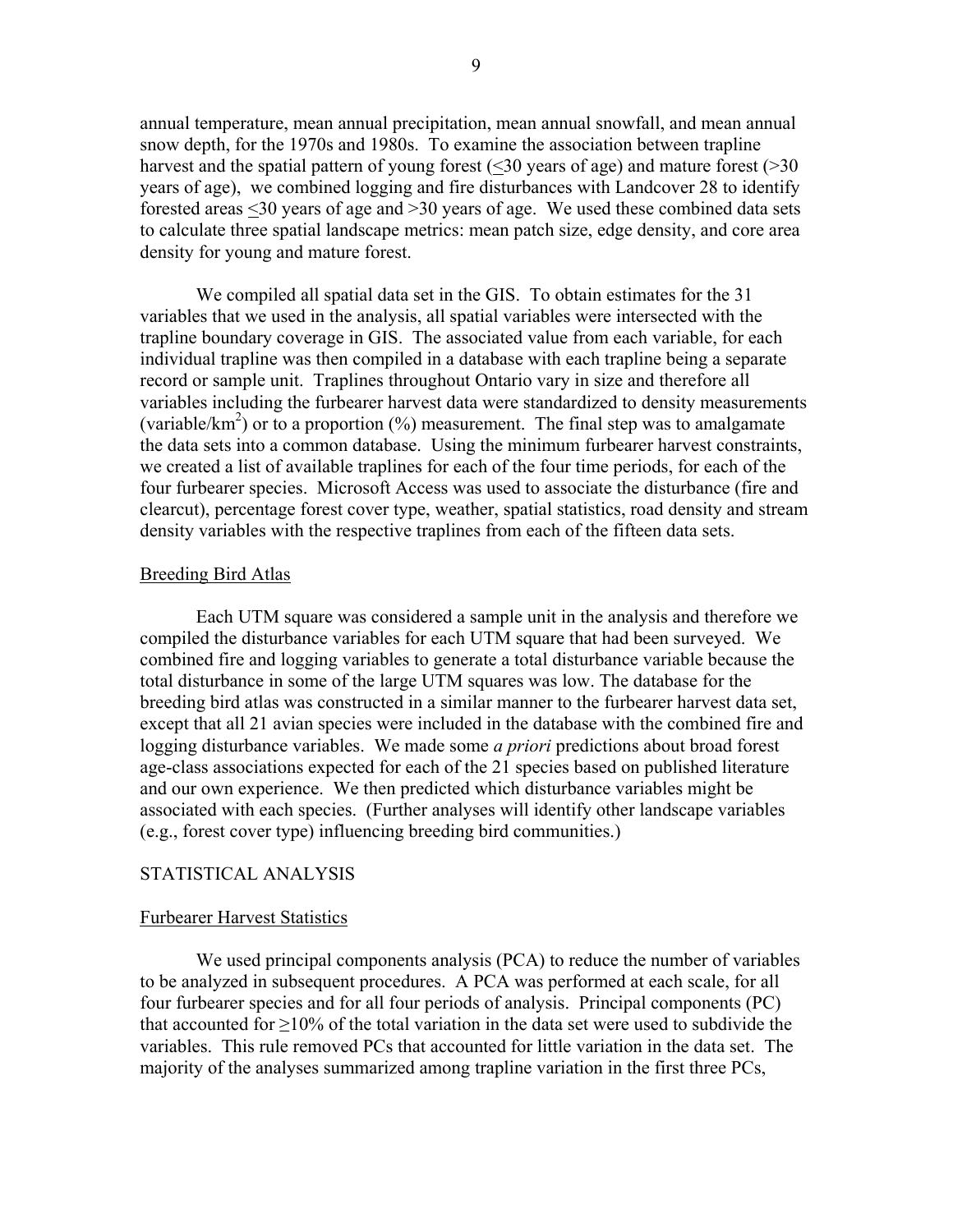annual temperature, mean annual precipitation, mean annual snowfall, and mean annual snow depth, for the 1970s and 1980s. To examine the association between trapline harvest and the spatial pattern of young forest (<30 years of age) and mature forest (>30 years of age), we combined logging and fire disturbances with Landcover 28 to identify forested areas <30 years of age and >30 years of age. We used these combined data sets to calculate three spatial landscape metrics: mean patch size, edge density, and core area density for young and mature forest.

We compiled all spatial data set in the GIS. To obtain estimates for the 31 variables that we used in the analysis, all spatial variables were intersected with the trapline boundary coverage in GIS. The associated value from each variable, for each individual trapline was then compiled in a database with each trapline being a separate record or sample unit. Traplines throughout Ontario vary in size and therefore all variables including the furbearer harvest data were standardized to density measurements (variable/km<sup>2</sup>) or to a proportion  $(\%)$  measurement. The final step was to amalgamate the data sets into a common database. Using the minimum furbearer harvest constraints, we created a list of available traplines for each of the four time periods, for each of the four furbearer species. Microsoft Access was used to associate the disturbance (fire and clearcut), percentage forest cover type, weather, spatial statistics, road density and stream density variables with the respective traplines from each of the fifteen data sets.

#### Breeding Bird Atlas

Each UTM square was considered a sample unit in the analysis and therefore we compiled the disturbance variables for each UTM square that had been surveyed. We combined fire and logging variables to generate a total disturbance variable because the total disturbance in some of the large UTM squares was low. The database for the breeding bird atlas was constructed in a similar manner to the furbearer harvest data set, except that all 21 avian species were included in the database with the combined fire and logging disturbance variables. We made some *a priori* predictions about broad forest age-class associations expected for each of the 21 species based on published literature and our own experience. We then predicted which disturbance variables might be associated with each species. (Further analyses will identify other landscape variables (e.g., forest cover type) influencing breeding bird communities.)

# STATISTICAL ANALYSIS

#### Furbearer Harvest Statistics

 We used principal components analysis (PCA) to reduce the number of variables to be analyzed in subsequent procedures. A PCA was performed at each scale, for all four furbearer species and for all four periods of analysis. Principal components (PC) that accounted for  $>10\%$  of the total variation in the data set were used to subdivide the variables. This rule removed PCs that accounted for little variation in the data set. The majority of the analyses summarized among trapline variation in the first three PCs,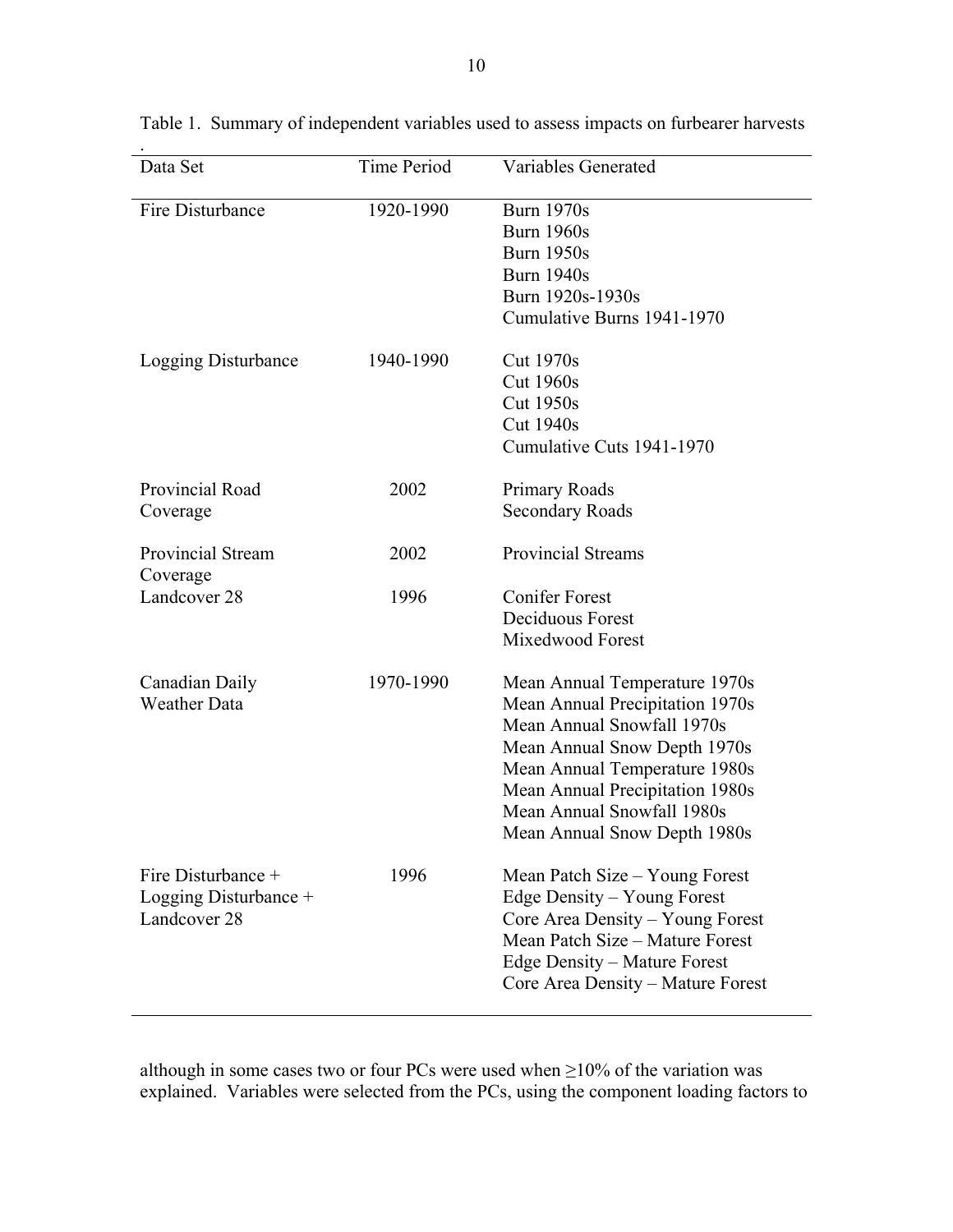| Data Set                 | <b>Time Period</b> | Variables Generated               |  |  |
|--------------------------|--------------------|-----------------------------------|--|--|
| Fire Disturbance         | 1920-1990          | <b>Burn 1970s</b>                 |  |  |
|                          |                    | <b>Burn 1960s</b>                 |  |  |
|                          |                    | <b>Burn 1950s</b>                 |  |  |
|                          |                    | <b>Burn 1940s</b>                 |  |  |
|                          |                    | Burn 1920s-1930s                  |  |  |
|                          |                    | Cumulative Burns 1941-1970        |  |  |
| Logging Disturbance      | 1940-1990          | <b>Cut 1970s</b>                  |  |  |
|                          |                    | <b>Cut 1960s</b>                  |  |  |
|                          |                    | <b>Cut 1950s</b>                  |  |  |
|                          |                    | <b>Cut 1940s</b>                  |  |  |
|                          |                    | Cumulative Cuts 1941-1970         |  |  |
|                          |                    |                                   |  |  |
| Provincial Road          | 2002               | Primary Roads                     |  |  |
| Coverage                 |                    | <b>Secondary Roads</b>            |  |  |
| <b>Provincial Stream</b> | 2002               | <b>Provincial Streams</b>         |  |  |
| Coverage                 |                    |                                   |  |  |
| Landcover 28             | 1996               | <b>Conifer Forest</b>             |  |  |
|                          |                    | Deciduous Forest                  |  |  |
|                          |                    | Mixedwood Forest                  |  |  |
|                          |                    |                                   |  |  |
| Canadian Daily           | 1970-1990          | Mean Annual Temperature 1970s     |  |  |
| <b>Weather Data</b>      |                    | Mean Annual Precipitation 1970s   |  |  |
|                          |                    | Mean Annual Snowfall 1970s        |  |  |
|                          |                    | Mean Annual Snow Depth 1970s      |  |  |
|                          |                    | Mean Annual Temperature 1980s     |  |  |
|                          |                    | Mean Annual Precipitation 1980s   |  |  |
|                          |                    | Mean Annual Snowfall 1980s        |  |  |
|                          |                    | Mean Annual Snow Depth 1980s      |  |  |
| Fire Disturbance +       | 1996               | Mean Patch Size – Young Forest    |  |  |
| Logging Disturbance $+$  |                    | Edge Density – Young Forest       |  |  |
| Landcover 28             |                    | Core Area Density - Young Forest  |  |  |
|                          |                    | Mean Patch Size - Mature Forest   |  |  |
|                          |                    | Edge Density – Mature Forest      |  |  |
|                          |                    | Core Area Density - Mature Forest |  |  |
|                          |                    |                                   |  |  |

Table 1. Summary of independent variables used to assess impacts on furbearer harvests

although in some cases two or four PCs were used when  $\geq$ 10% of the variation was explained. Variables were selected from the PCs, using the component loading factors to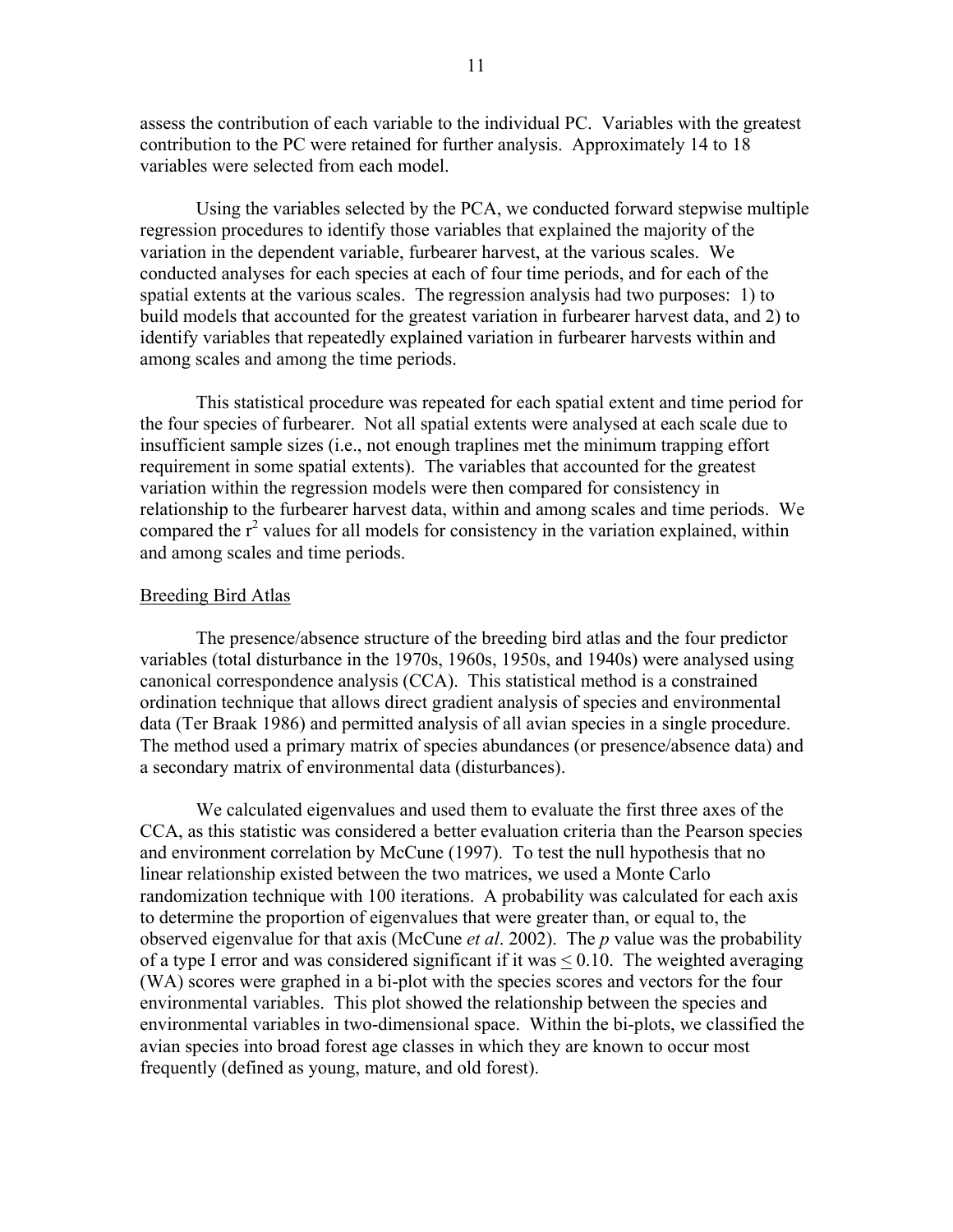assess the contribution of each variable to the individual PC. Variables with the greatest contribution to the PC were retained for further analysis. Approximately 14 to 18 variables were selected from each model.

Using the variables selected by the PCA, we conducted forward stepwise multiple regression procedures to identify those variables that explained the majority of the variation in the dependent variable, furbearer harvest, at the various scales. We conducted analyses for each species at each of four time periods, and for each of the spatial extents at the various scales. The regression analysis had two purposes: 1) to build models that accounted for the greatest variation in furbearer harvest data, and 2) to identify variables that repeatedly explained variation in furbearer harvests within and among scales and among the time periods.

This statistical procedure was repeated for each spatial extent and time period for the four species of furbearer. Not all spatial extents were analysed at each scale due to insufficient sample sizes (i.e., not enough traplines met the minimum trapping effort requirement in some spatial extents). The variables that accounted for the greatest variation within the regression models were then compared for consistency in relationship to the furbearer harvest data, within and among scales and time periods. We compared the  $r^2$  values for all models for consistency in the variation explained, within and among scales and time periods.

#### **Breeding Bird Atlas**

 The presence/absence structure of the breeding bird atlas and the four predictor variables (total disturbance in the 1970s, 1960s, 1950s, and 1940s) were analysed using canonical correspondence analysis (CCA). This statistical method is a constrained ordination technique that allows direct gradient analysis of species and environmental data (Ter Braak 1986) and permitted analysis of all avian species in a single procedure. The method used a primary matrix of species abundances (or presence/absence data) and a secondary matrix of environmental data (disturbances).

We calculated eigenvalues and used them to evaluate the first three axes of the CCA, as this statistic was considered a better evaluation criteria than the Pearson species and environment correlation by McCune (1997). To test the null hypothesis that no linear relationship existed between the two matrices, we used a Monte Carlo randomization technique with 100 iterations. A probability was calculated for each axis to determine the proportion of eigenvalues that were greater than, or equal to, the observed eigenvalue for that axis (McCune *et al*. 2002). The *p* value was the probability of a type I error and was considered significant if it was < 0.10. The weighted averaging (WA) scores were graphed in a bi-plot with the species scores and vectors for the four environmental variables. This plot showed the relationship between the species and environmental variables in two-dimensional space. Within the bi-plots, we classified the avian species into broad forest age classes in which they are known to occur most frequently (defined as young, mature, and old forest).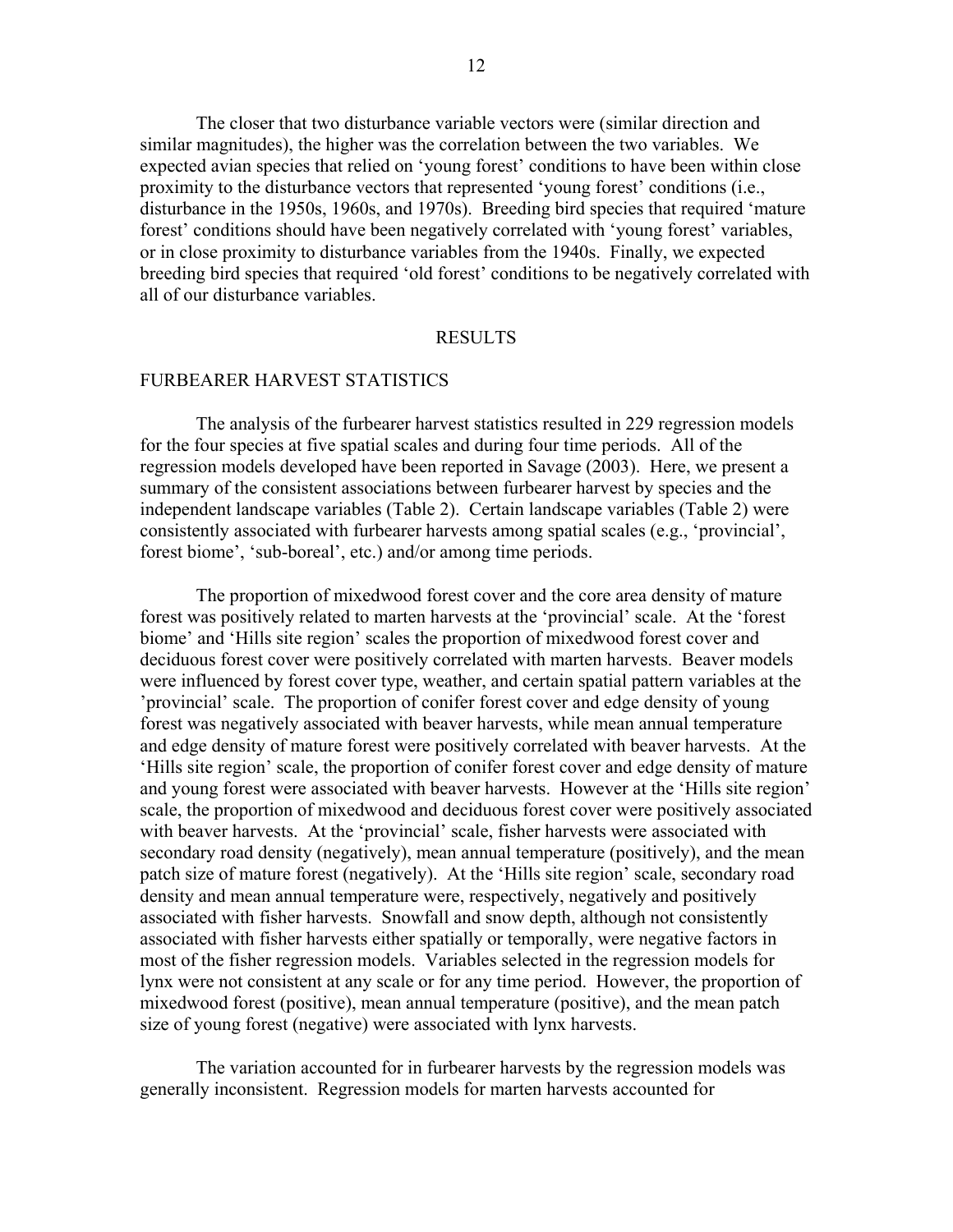The closer that two disturbance variable vectors were (similar direction and similar magnitudes), the higher was the correlation between the two variables. We expected avian species that relied on 'young forest' conditions to have been within close proximity to the disturbance vectors that represented 'young forest' conditions (i.e., disturbance in the 1950s, 1960s, and 1970s). Breeding bird species that required 'mature forest' conditions should have been negatively correlated with 'young forest' variables, or in close proximity to disturbance variables from the 1940s. Finally, we expected breeding bird species that required 'old forest' conditions to be negatively correlated with all of our disturbance variables.

# RESULTS

# FURBEARER HARVEST STATISTICS

 The analysis of the furbearer harvest statistics resulted in 229 regression models for the four species at five spatial scales and during four time periods. All of the regression models developed have been reported in Savage (2003). Here, we present a summary of the consistent associations between furbearer harvest by species and the independent landscape variables (Table 2). Certain landscape variables (Table 2) were consistently associated with furbearer harvests among spatial scales (e.g., 'provincial', forest biome', 'sub-boreal', etc.) and/or among time periods.

The proportion of mixedwood forest cover and the core area density of mature forest was positively related to marten harvests at the 'provincial' scale. At the 'forest biome' and 'Hills site region' scales the proportion of mixedwood forest cover and deciduous forest cover were positively correlated with marten harvests. Beaver models were influenced by forest cover type, weather, and certain spatial pattern variables at the 'provincial' scale. The proportion of conifer forest cover and edge density of young forest was negatively associated with beaver harvests, while mean annual temperature and edge density of mature forest were positively correlated with beaver harvests. At the 'Hills site region' scale, the proportion of conifer forest cover and edge density of mature and young forest were associated with beaver harvests. However at the 'Hills site region' scale, the proportion of mixedwood and deciduous forest cover were positively associated with beaver harvests. At the 'provincial' scale, fisher harvests were associated with secondary road density (negatively), mean annual temperature (positively), and the mean patch size of mature forest (negatively). At the 'Hills site region' scale, secondary road density and mean annual temperature were, respectively, negatively and positively associated with fisher harvests. Snowfall and snow depth, although not consistently associated with fisher harvests either spatially or temporally, were negative factors in most of the fisher regression models. Variables selected in the regression models for lynx were not consistent at any scale or for any time period. However, the proportion of mixedwood forest (positive), mean annual temperature (positive), and the mean patch size of young forest (negative) were associated with lynx harvests.

The variation accounted for in furbearer harvests by the regression models was generally inconsistent. Regression models for marten harvests accounted for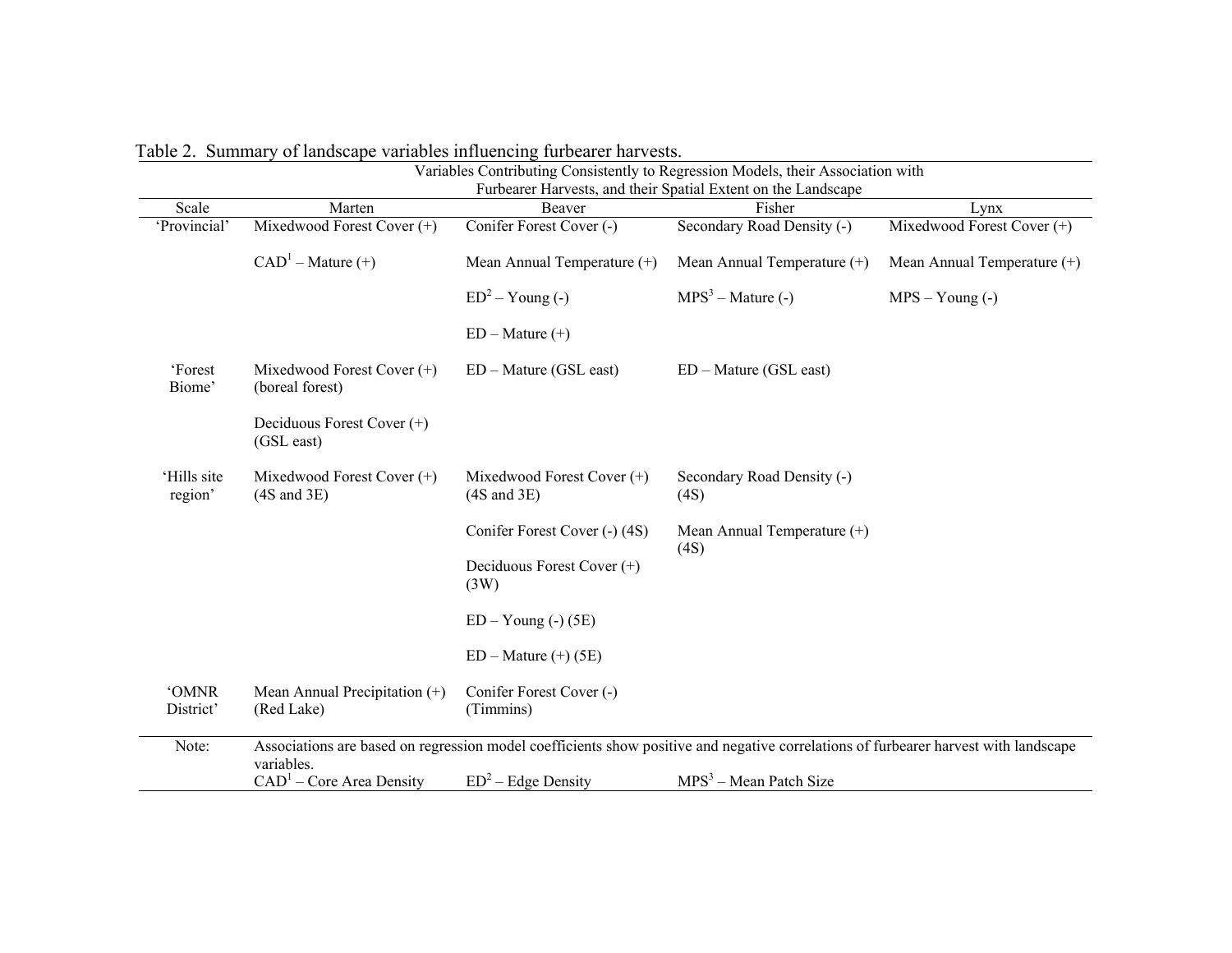|                        | Table 2. Summary of landscape variables influencing furbearer harvests. |                                                        |                                                                                                                                     |                               |
|------------------------|-------------------------------------------------------------------------|--------------------------------------------------------|-------------------------------------------------------------------------------------------------------------------------------------|-------------------------------|
|                        |                                                                         |                                                        | Variables Contributing Consistently to Regression Models, their Association with                                                    |                               |
|                        |                                                                         |                                                        | Furbearer Harvests, and their Spatial Extent on the Landscape                                                                       |                               |
| Scale                  | Marten                                                                  | Beaver                                                 | Fisher                                                                                                                              | Lynx                          |
| 'Provincial'           | Mixedwood Forest Cover (+)                                              | Conifer Forest Cover (-)                               | Secondary Road Density (-)                                                                                                          | Mixedwood Forest Cover (+)    |
|                        | $CAD1 - Nature (+)$                                                     | Mean Annual Temperature (+)                            | Mean Annual Temperature (+)                                                                                                         | Mean Annual Temperature $(+)$ |
|                        |                                                                         | $ED^2 - Young(-)$                                      | $MPS3 - Mature (-)$                                                                                                                 | $MPS - Young(-)$              |
|                        |                                                                         | $ED - Mature (+)$                                      |                                                                                                                                     |                               |
| 'Forest<br>Biome'      | Mixedwood Forest Cover (+)<br>(boreal forest)                           | $ED - Nature (GSL east)$                               | $ED - Nature (GSL east)$                                                                                                            |                               |
|                        | Deciduous Forest Cover (+)<br>(GSL east)                                |                                                        |                                                                                                                                     |                               |
| 'Hills site<br>region' | Mixedwood Forest Cover $(+)$<br>$(4S \text{ and } 3E)$                  | Mixedwood Forest Cover $(+)$<br>$(4S \text{ and } 3E)$ | Secondary Road Density (-)<br>(4S)                                                                                                  |                               |
|                        |                                                                         | Conifer Forest Cover (-) (4S)                          | Mean Annual Temperature (+)<br>(4S)                                                                                                 |                               |
|                        |                                                                         | Deciduous Forest Cover $(+)$<br>(3W)                   |                                                                                                                                     |                               |
|                        |                                                                         | $ED - Young(-)$ (5E)                                   |                                                                                                                                     |                               |
|                        |                                                                         | $ED - Nature (+) (5E)$                                 |                                                                                                                                     |                               |
| <b>'OMNR</b>           | Mean Annual Precipitation (+)                                           | Conifer Forest Cover (-)                               |                                                                                                                                     |                               |
| District'              | (Red Lake)                                                              | (Timmins)                                              |                                                                                                                                     |                               |
| Note:                  | variables.                                                              |                                                        | Associations are based on regression model coefficients show positive and negative correlations of furbearer harvest with landscape |                               |
|                        | $CAD1 - Core Area Density$                                              | $ED^2$ – Edge Density                                  | $MPS3 - Mean$ Patch Size                                                                                                            |                               |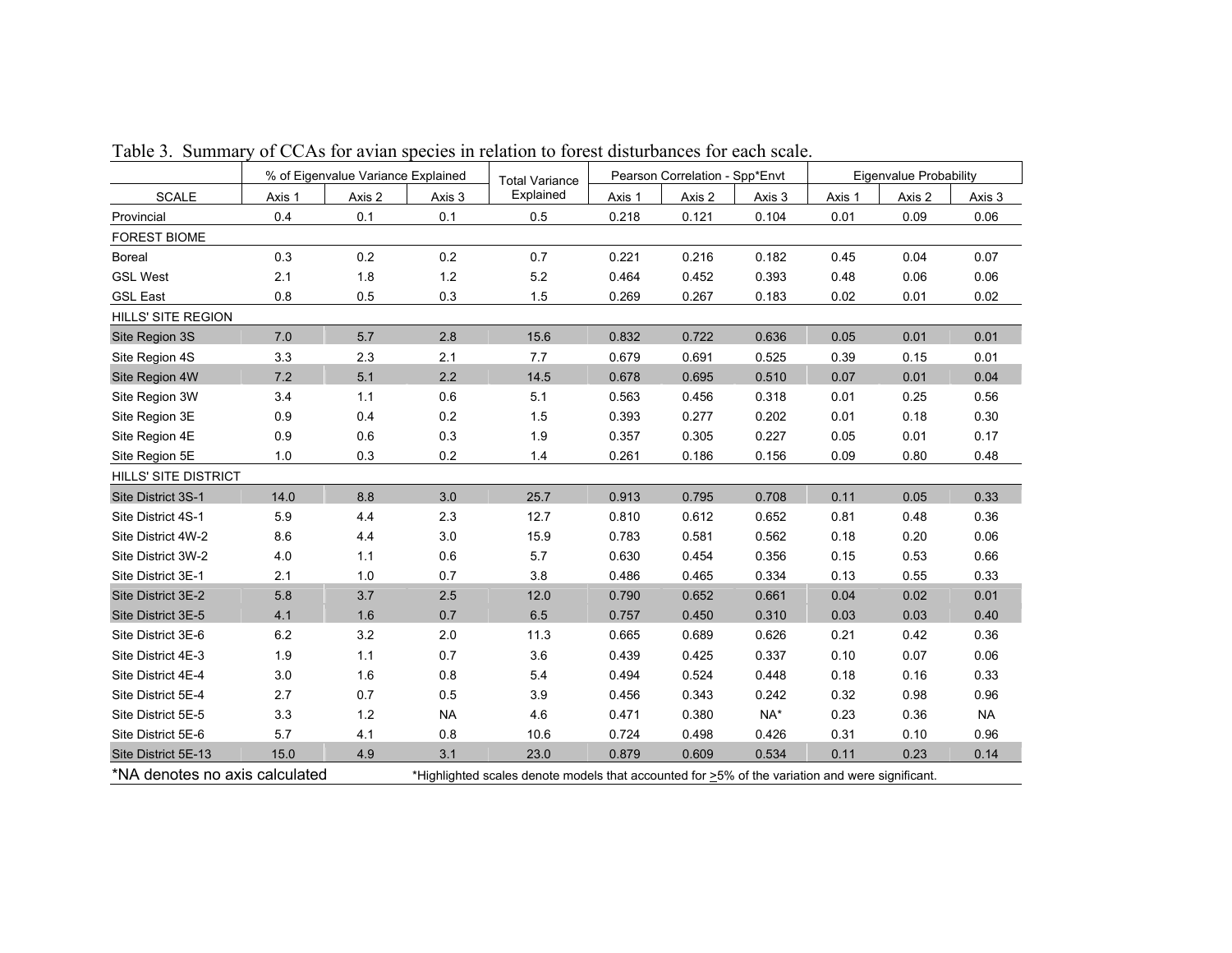|                                                                                                                                   |        | % of Eigenvalue Variance Explained |           | <b>Total Variance</b> | Pearson Correlation - Spp*Envt |        | Eigenvalue Probability |        |        |           |
|-----------------------------------------------------------------------------------------------------------------------------------|--------|------------------------------------|-----------|-----------------------|--------------------------------|--------|------------------------|--------|--------|-----------|
| <b>SCALE</b>                                                                                                                      | Axis 1 | Axis 2                             | Axis 3    | Explained             | Axis 1                         | Axis 2 | Axis 3                 | Axis 1 | Axis 2 | Axis 3    |
| Provincial                                                                                                                        | 0.4    | 0.1                                | 0.1       | 0.5                   | 0.218                          | 0.121  | 0.104                  | 0.01   | 0.09   | 0.06      |
| <b>FOREST BIOME</b>                                                                                                               |        |                                    |           |                       |                                |        |                        |        |        |           |
| <b>Boreal</b>                                                                                                                     | 0.3    | 0.2                                | 0.2       | 0.7                   | 0.221                          | 0.216  | 0.182                  | 0.45   | 0.04   | 0.07      |
| <b>GSL West</b>                                                                                                                   | 2.1    | 1.8                                | $1.2$     | 5.2                   | 0.464                          | 0.452  | 0.393                  | 0.48   | 0.06   | 0.06      |
| <b>GSL East</b>                                                                                                                   | 0.8    | 0.5                                | 0.3       | 1.5                   | 0.269                          | 0.267  | 0.183                  | 0.02   | 0.01   | 0.02      |
| <b>HILLS' SITE REGION</b>                                                                                                         |        |                                    |           |                       |                                |        |                        |        |        |           |
| Site Region 3S                                                                                                                    | 7.0    | 5.7                                | 2.8       | 15.6                  | 0.832                          | 0.722  | 0.636                  | 0.05   | 0.01   | 0.01      |
| Site Region 4S                                                                                                                    | 3.3    | 2.3                                | 2.1       | 7.7                   | 0.679                          | 0.691  | 0.525                  | 0.39   | 0.15   | 0.01      |
| Site Region 4W                                                                                                                    | 7.2    | 5.1                                | 2.2       | 14.5                  | 0.678                          | 0.695  | 0.510                  | 0.07   | 0.01   | 0.04      |
| Site Region 3W                                                                                                                    | 3.4    | 1.1                                | 0.6       | 5.1                   | 0.563                          | 0.456  | 0.318                  | 0.01   | 0.25   | 0.56      |
| Site Region 3E                                                                                                                    | 0.9    | 0.4                                | 0.2       | 1.5                   | 0.393                          | 0.277  | 0.202                  | 0.01   | 0.18   | 0.30      |
| Site Region 4E                                                                                                                    | 0.9    | 0.6                                | 0.3       | 1.9                   | 0.357                          | 0.305  | 0.227                  | 0.05   | 0.01   | 0.17      |
| Site Region 5E                                                                                                                    | 1.0    | 0.3                                | 0.2       | 1.4                   | 0.261                          | 0.186  | 0.156                  | 0.09   | 0.80   | 0.48      |
| <b>HILLS' SITE DISTRICT</b>                                                                                                       |        |                                    |           |                       |                                |        |                        |        |        |           |
| Site District 3S-1                                                                                                                | 14.0   | 8.8                                | 3.0       | 25.7                  | 0.913                          | 0.795  | 0.708                  | 0.11   | 0.05   | 0.33      |
| Site District 4S-1                                                                                                                | 5.9    | 4.4                                | 2.3       | 12.7                  | 0.810                          | 0.612  | 0.652                  | 0.81   | 0.48   | 0.36      |
| Site District 4W-2                                                                                                                | 8.6    | 4.4                                | $3.0\,$   | 15.9                  | 0.783                          | 0.581  | 0.562                  | 0.18   | 0.20   | 0.06      |
| Site District 3W-2                                                                                                                | 4.0    | 1.1                                | 0.6       | 5.7                   | 0.630                          | 0.454  | 0.356                  | 0.15   | 0.53   | 0.66      |
| Site District 3E-1                                                                                                                | 2.1    | 1.0                                | 0.7       | 3.8                   | 0.486                          | 0.465  | 0.334                  | 0.13   | 0.55   | 0.33      |
| Site District 3E-2                                                                                                                | 5.8    | 3.7                                | 2.5       | 12.0                  | 0.790                          | 0.652  | 0.661                  | 0.04   | 0.02   | 0.01      |
| Site District 3E-5                                                                                                                | 4.1    | 1.6                                | 0.7       | 6.5                   | 0.757                          | 0.450  | 0.310                  | 0.03   | 0.03   | 0.40      |
| Site District 3E-6                                                                                                                | 6.2    | 3.2                                | 2.0       | 11.3                  | 0.665                          | 0.689  | 0.626                  | 0.21   | 0.42   | 0.36      |
| Site District 4E-3                                                                                                                | 1.9    | 1.1                                | 0.7       | 3.6                   | 0.439                          | 0.425  | 0.337                  | 0.10   | 0.07   | 0.06      |
| Site District 4E-4                                                                                                                | 3.0    | 1.6                                | 0.8       | 5.4                   | 0.494                          | 0.524  | 0.448                  | 0.18   | 0.16   | 0.33      |
| Site District 5E-4                                                                                                                | 2.7    | 0.7                                | 0.5       | 3.9                   | 0.456                          | 0.343  | 0.242                  | 0.32   | 0.98   | 0.96      |
| Site District 5E-5                                                                                                                | 3.3    | 1.2                                | <b>NA</b> | 4.6                   | 0.471                          | 0.380  | NA*                    | 0.23   | 0.36   | <b>NA</b> |
| Site District 5E-6                                                                                                                | 5.7    | 4.1                                | 0.8       | 10.6                  | 0.724                          | 0.498  | 0.426                  | 0.31   | 0.10   | 0.96      |
| Site District 5E-13                                                                                                               | 15.0   | 4.9                                | 3.1       | 23.0                  | 0.879                          | 0.609  | 0.534                  | 0.11   | 0.23   | 0.14      |
| *NA denotes no axis calculated<br>*Highlighted scales denote models that accounted for >5% of the variation and were significant. |        |                                    |           |                       |                                |        |                        |        |        |           |

Table 3. Summary of CCAs for avian species in relation to forest disturbances for each scale.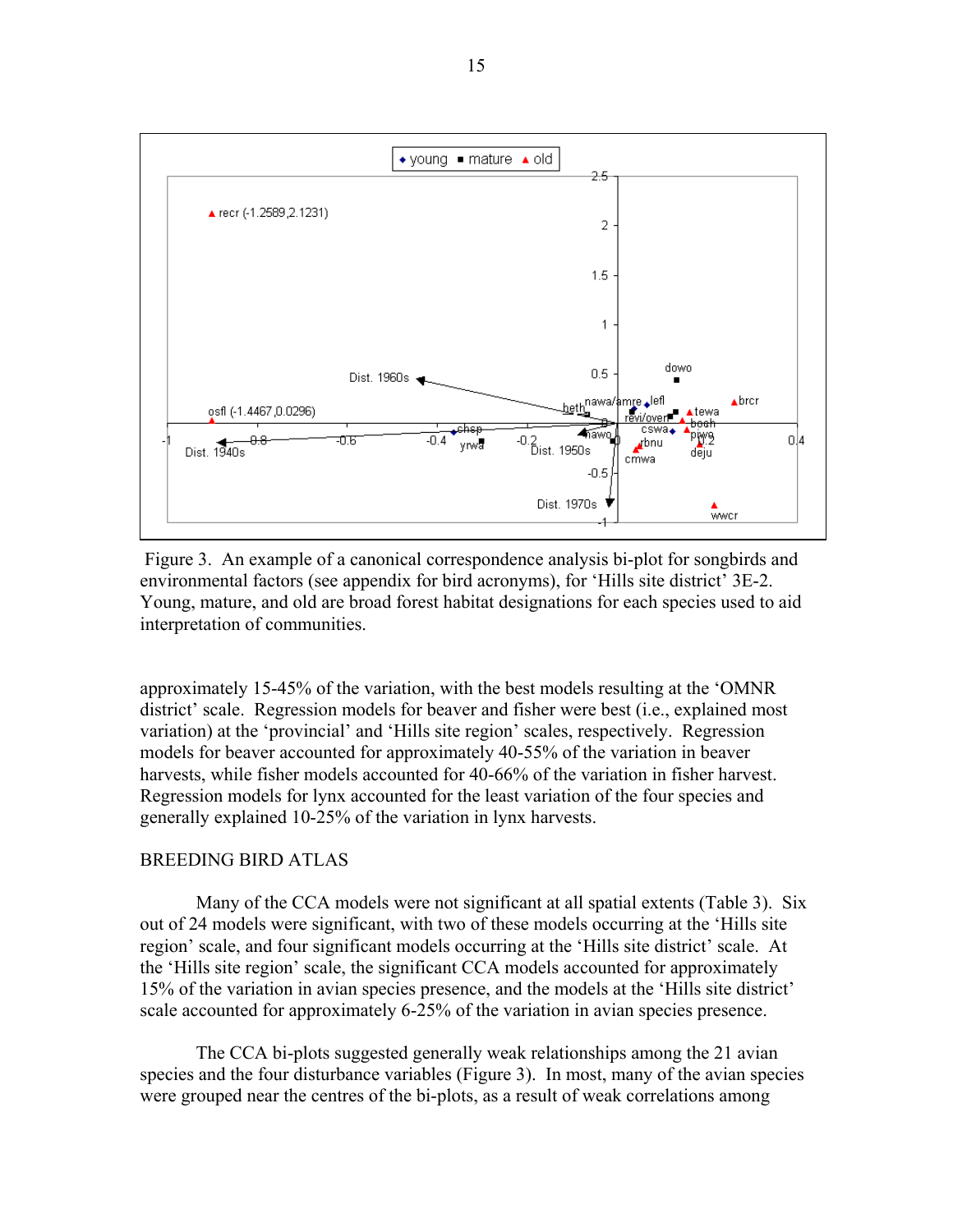

 Figure 3. An example of a canonical correspondence analysis bi-plot for songbirds and environmental factors (see appendix for bird acronyms), for 'Hills site district' 3E-2. Young, mature, and old are broad forest habitat designations for each species used to aid interpretation of communities.

approximately 15-45% of the variation, with the best models resulting at the 'OMNR district' scale. Regression models for beaver and fisher were best (i.e., explained most variation) at the 'provincial' and 'Hills site region' scales, respectively. Regression models for beaver accounted for approximately 40-55% of the variation in beaver harvests, while fisher models accounted for 40-66% of the variation in fisher harvest. Regression models for lynx accounted for the least variation of the four species and generally explained 10-25% of the variation in lynx harvests.

# BREEDING BIRD ATLAS

 Many of the CCA models were not significant at all spatial extents (Table 3). Six out of 24 models were significant, with two of these models occurring at the 'Hills site region' scale, and four significant models occurring at the 'Hills site district' scale. At the 'Hills site region' scale, the significant CCA models accounted for approximately 15% of the variation in avian species presence, and the models at the 'Hills site district' scale accounted for approximately 6-25% of the variation in avian species presence.

The CCA bi-plots suggested generally weak relationships among the 21 avian species and the four disturbance variables (Figure 3). In most, many of the avian species were grouped near the centres of the bi-plots, as a result of weak correlations among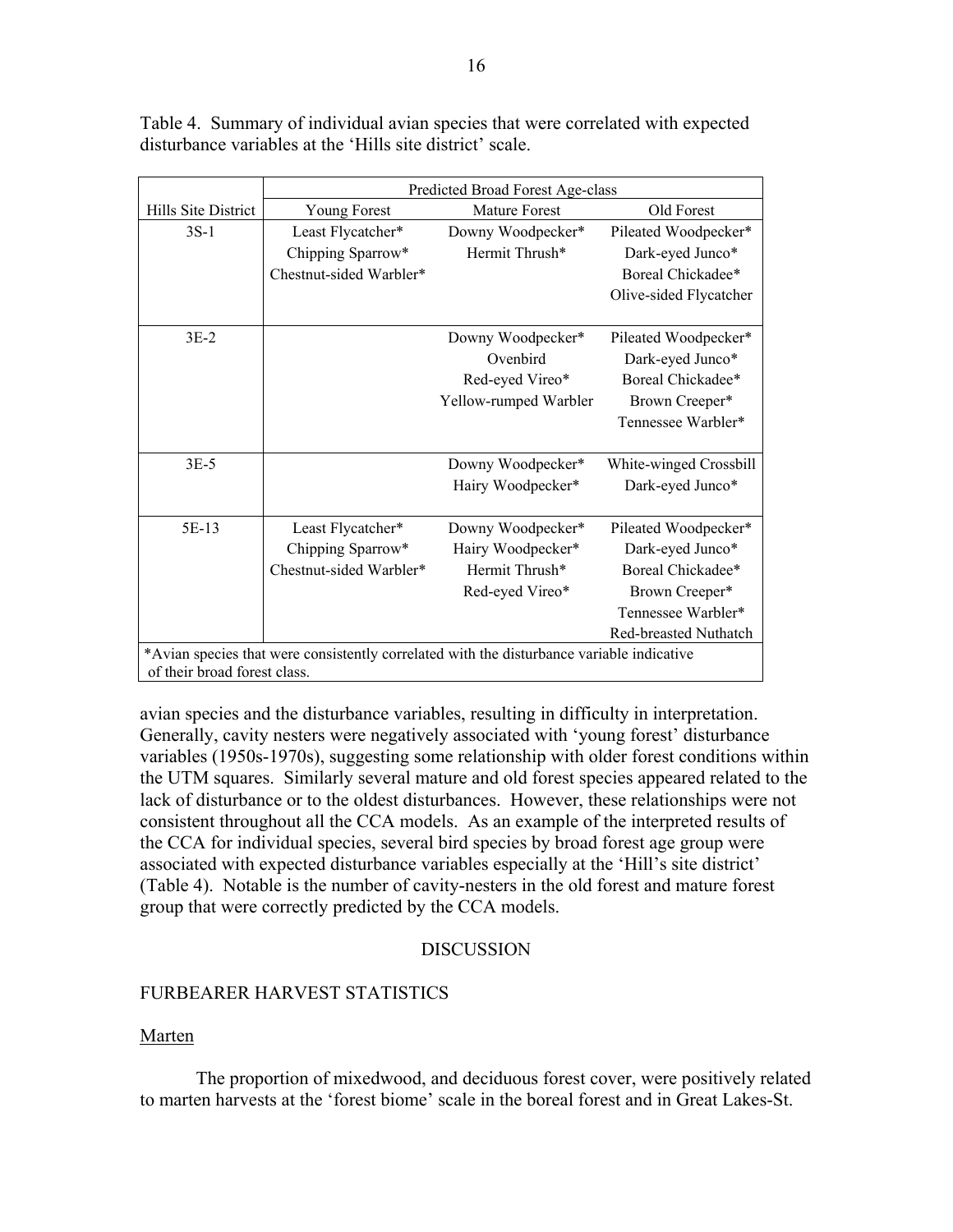|                     | Predicted Broad Forest Age-class                                                                                          |                       |                        |  |  |  |
|---------------------|---------------------------------------------------------------------------------------------------------------------------|-----------------------|------------------------|--|--|--|
| Hills Site District | Young Forest                                                                                                              | <b>Mature Forest</b>  | Old Forest             |  |  |  |
| $3S-1$              | Least Flycatcher*                                                                                                         | Downy Woodpecker*     | Pileated Woodpecker*   |  |  |  |
|                     | Chipping Sparrow*                                                                                                         | Hermit Thrush*        | Dark-eyed Junco*       |  |  |  |
|                     | Chestnut-sided Warbler*                                                                                                   |                       | Boreal Chickadee*      |  |  |  |
|                     |                                                                                                                           |                       | Olive-sided Flycatcher |  |  |  |
| $3E-2$              |                                                                                                                           | Downy Woodpecker*     | Pileated Woodpecker*   |  |  |  |
|                     |                                                                                                                           | Ovenbird              | Dark-eyed Junco*       |  |  |  |
|                     |                                                                                                                           | Red-eyed Vireo*       | Boreal Chickadee*      |  |  |  |
|                     |                                                                                                                           | Yellow-rumped Warbler | Brown Creeper*         |  |  |  |
|                     |                                                                                                                           |                       | Tennessee Warbler*     |  |  |  |
| $3E-5$              |                                                                                                                           | Downy Woodpecker*     | White-winged Crossbill |  |  |  |
|                     |                                                                                                                           | Hairy Woodpecker*     | Dark-eyed Junco*       |  |  |  |
| 5E-13               | Least Flycatcher*                                                                                                         | Downy Woodpecker*     | Pileated Woodpecker*   |  |  |  |
|                     | Chipping Sparrow*                                                                                                         | Hairy Woodpecker*     | Dark-eyed Junco*       |  |  |  |
|                     | Chestnut-sided Warbler*                                                                                                   | Hermit Thrush*        | Boreal Chickadee*      |  |  |  |
|                     |                                                                                                                           | Red-eyed Vireo*       | Brown Creeper*         |  |  |  |
|                     |                                                                                                                           |                       | Tennessee Warbler*     |  |  |  |
|                     |                                                                                                                           |                       | Red-breasted Nuthatch  |  |  |  |
|                     | *Avian species that were consistently correlated with the disturbance variable indicative<br>of their broad forest class. |                       |                        |  |  |  |
|                     |                                                                                                                           |                       |                        |  |  |  |

Table 4. Summary of individual avian species that were correlated with expected disturbance variables at the 'Hills site district' scale.

avian species and the disturbance variables, resulting in difficulty in interpretation. Generally, cavity nesters were negatively associated with 'young forest' disturbance variables (1950s-1970s), suggesting some relationship with older forest conditions within the UTM squares. Similarly several mature and old forest species appeared related to the lack of disturbance or to the oldest disturbances. However, these relationships were not consistent throughout all the CCA models. As an example of the interpreted results of the CCA for individual species, several bird species by broad forest age group were associated with expected disturbance variables especially at the 'Hill's site district' (Table 4). Notable is the number of cavity-nesters in the old forest and mature forest group that were correctly predicted by the CCA models.

# **DISCUSSION**

# FURBEARER HARVEST STATISTICS

# Marten

The proportion of mixedwood, and deciduous forest cover, were positively related to marten harvests at the 'forest biome' scale in the boreal forest and in Great Lakes-St.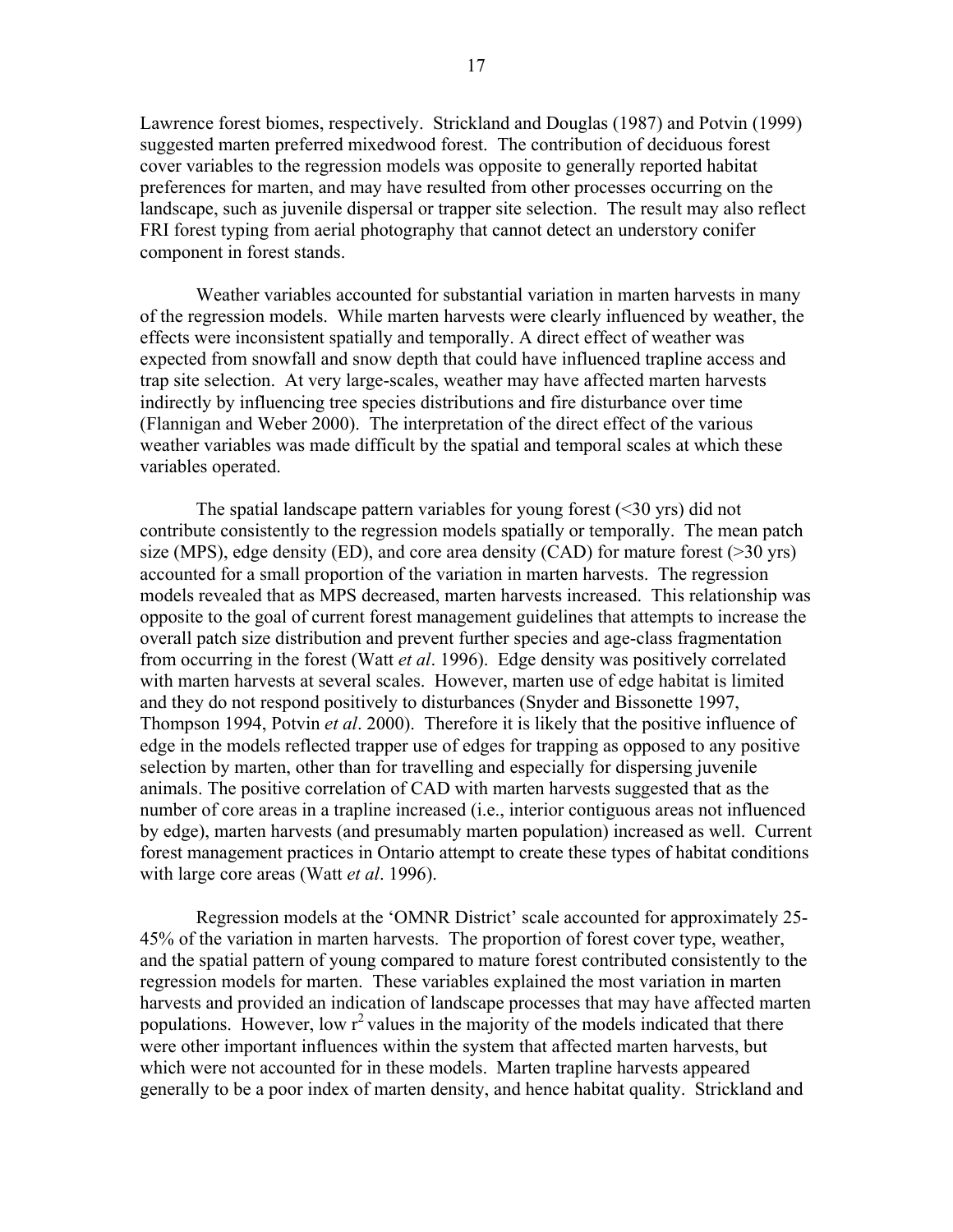Lawrence forest biomes, respectively. Strickland and Douglas (1987) and Potvin (1999) suggested marten preferred mixedwood forest. The contribution of deciduous forest cover variables to the regression models was opposite to generally reported habitat preferences for marten, and may have resulted from other processes occurring on the landscape, such as juvenile dispersal or trapper site selection. The result may also reflect FRI forest typing from aerial photography that cannot detect an understory conifer component in forest stands.

Weather variables accounted for substantial variation in marten harvests in many of the regression models. While marten harvests were clearly influenced by weather, the effects were inconsistent spatially and temporally. A direct effect of weather was expected from snowfall and snow depth that could have influenced trapline access and trap site selection. At very large-scales, weather may have affected marten harvests indirectly by influencing tree species distributions and fire disturbance over time (Flannigan and Weber 2000). The interpretation of the direct effect of the various weather variables was made difficult by the spatial and temporal scales at which these variables operated.

The spatial landscape pattern variables for young forest  $( $30 \text{ yrs}$ )$  did not contribute consistently to the regression models spatially or temporally. The mean patch size (MPS), edge density (ED), and core area density (CAD) for mature forest (>30 yrs) accounted for a small proportion of the variation in marten harvests. The regression models revealed that as MPS decreased, marten harvests increased. This relationship was opposite to the goal of current forest management guidelines that attempts to increase the overall patch size distribution and prevent further species and age-class fragmentation from occurring in the forest (Watt *et al*. 1996). Edge density was positively correlated with marten harvests at several scales. However, marten use of edge habitat is limited and they do not respond positively to disturbances (Snyder and Bissonette 1997, Thompson 1994, Potvin *et al*. 2000). Therefore it is likely that the positive influence of edge in the models reflected trapper use of edges for trapping as opposed to any positive selection by marten, other than for travelling and especially for dispersing juvenile animals. The positive correlation of CAD with marten harvests suggested that as the number of core areas in a trapline increased (i.e., interior contiguous areas not influenced by edge), marten harvests (and presumably marten population) increased as well. Current forest management practices in Ontario attempt to create these types of habitat conditions with large core areas (Watt *et al*. 1996).

Regression models at the 'OMNR District' scale accounted for approximately 25- 45% of the variation in marten harvests. The proportion of forest cover type, weather, and the spatial pattern of young compared to mature forest contributed consistently to the regression models for marten. These variables explained the most variation in marten harvests and provided an indication of landscape processes that may have affected marten populations. However, low  $r^2$  values in the majority of the models indicated that there were other important influences within the system that affected marten harvests, but which were not accounted for in these models. Marten trapline harvests appeared generally to be a poor index of marten density, and hence habitat quality. Strickland and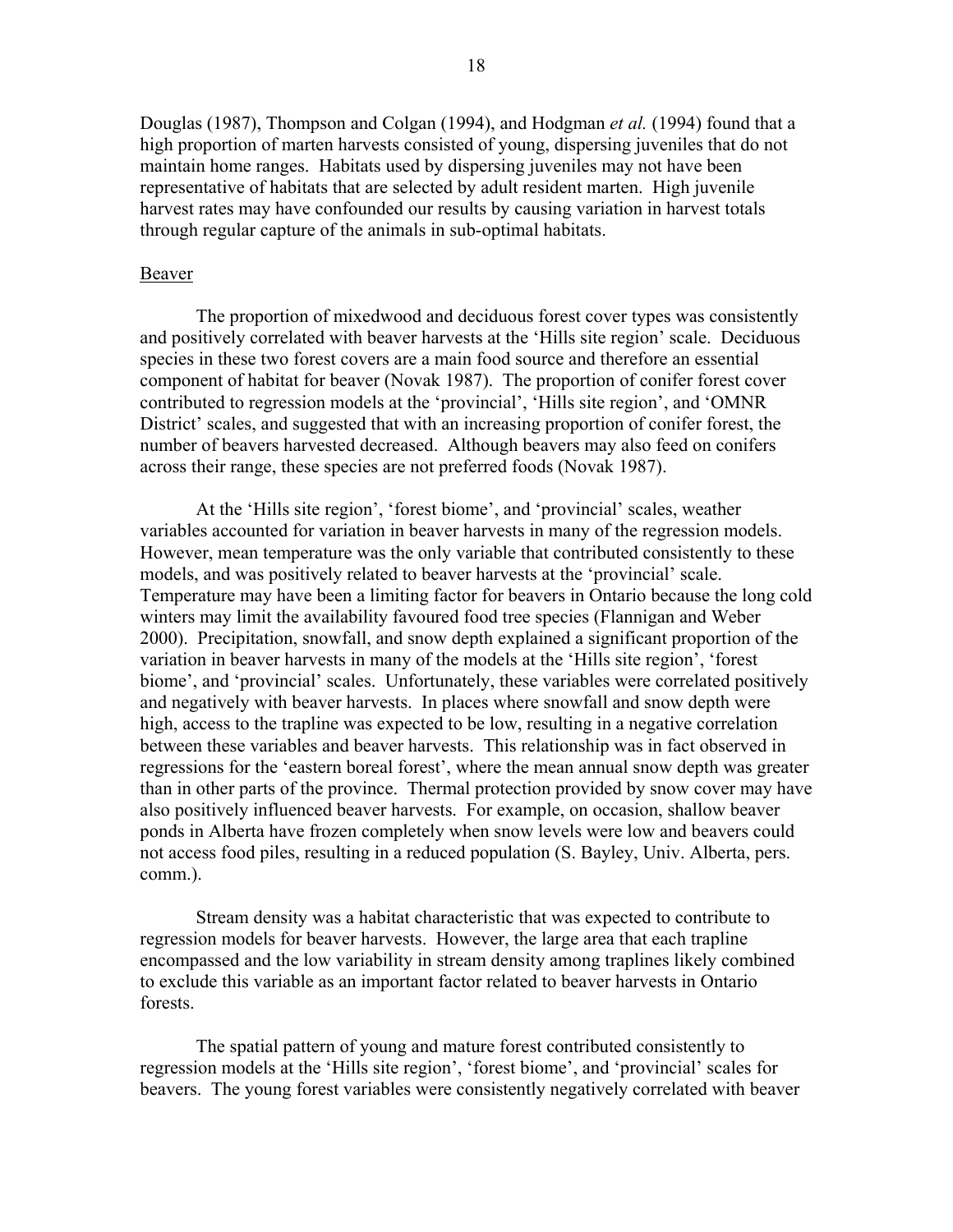Douglas (1987), Thompson and Colgan (1994), and Hodgman *et al.* (1994) found that a high proportion of marten harvests consisted of young, dispersing juveniles that do not maintain home ranges. Habitats used by dispersing juveniles may not have been representative of habitats that are selected by adult resident marten. High juvenile harvest rates may have confounded our results by causing variation in harvest totals through regular capture of the animals in sub-optimal habitats.

#### Beaver

The proportion of mixedwood and deciduous forest cover types was consistently and positively correlated with beaver harvests at the 'Hills site region' scale. Deciduous species in these two forest covers are a main food source and therefore an essential component of habitat for beaver (Novak 1987). The proportion of conifer forest cover contributed to regression models at the 'provincial', 'Hills site region', and 'OMNR District' scales, and suggested that with an increasing proportion of conifer forest, the number of beavers harvested decreased. Although beavers may also feed on conifers across their range, these species are not preferred foods (Novak 1987).

At the 'Hills site region', 'forest biome', and 'provincial' scales, weather variables accounted for variation in beaver harvests in many of the regression models. However, mean temperature was the only variable that contributed consistently to these models, and was positively related to beaver harvests at the 'provincial' scale. Temperature may have been a limiting factor for beavers in Ontario because the long cold winters may limit the availability favoured food tree species (Flannigan and Weber 2000). Precipitation, snowfall, and snow depth explained a significant proportion of the variation in beaver harvests in many of the models at the 'Hills site region', 'forest biome', and 'provincial' scales. Unfortunately, these variables were correlated positively and negatively with beaver harvests. In places where snowfall and snow depth were high, access to the trapline was expected to be low, resulting in a negative correlation between these variables and beaver harvests. This relationship was in fact observed in regressions for the 'eastern boreal forest', where the mean annual snow depth was greater than in other parts of the province. Thermal protection provided by snow cover may have also positively influenced beaver harvests. For example, on occasion, shallow beaver ponds in Alberta have frozen completely when snow levels were low and beavers could not access food piles, resulting in a reduced population (S. Bayley, Univ. Alberta, pers. comm.).

Stream density was a habitat characteristic that was expected to contribute to regression models for beaver harvests. However, the large area that each trapline encompassed and the low variability in stream density among traplines likely combined to exclude this variable as an important factor related to beaver harvests in Ontario forests.

The spatial pattern of young and mature forest contributed consistently to regression models at the 'Hills site region', 'forest biome', and 'provincial' scales for beavers. The young forest variables were consistently negatively correlated with beaver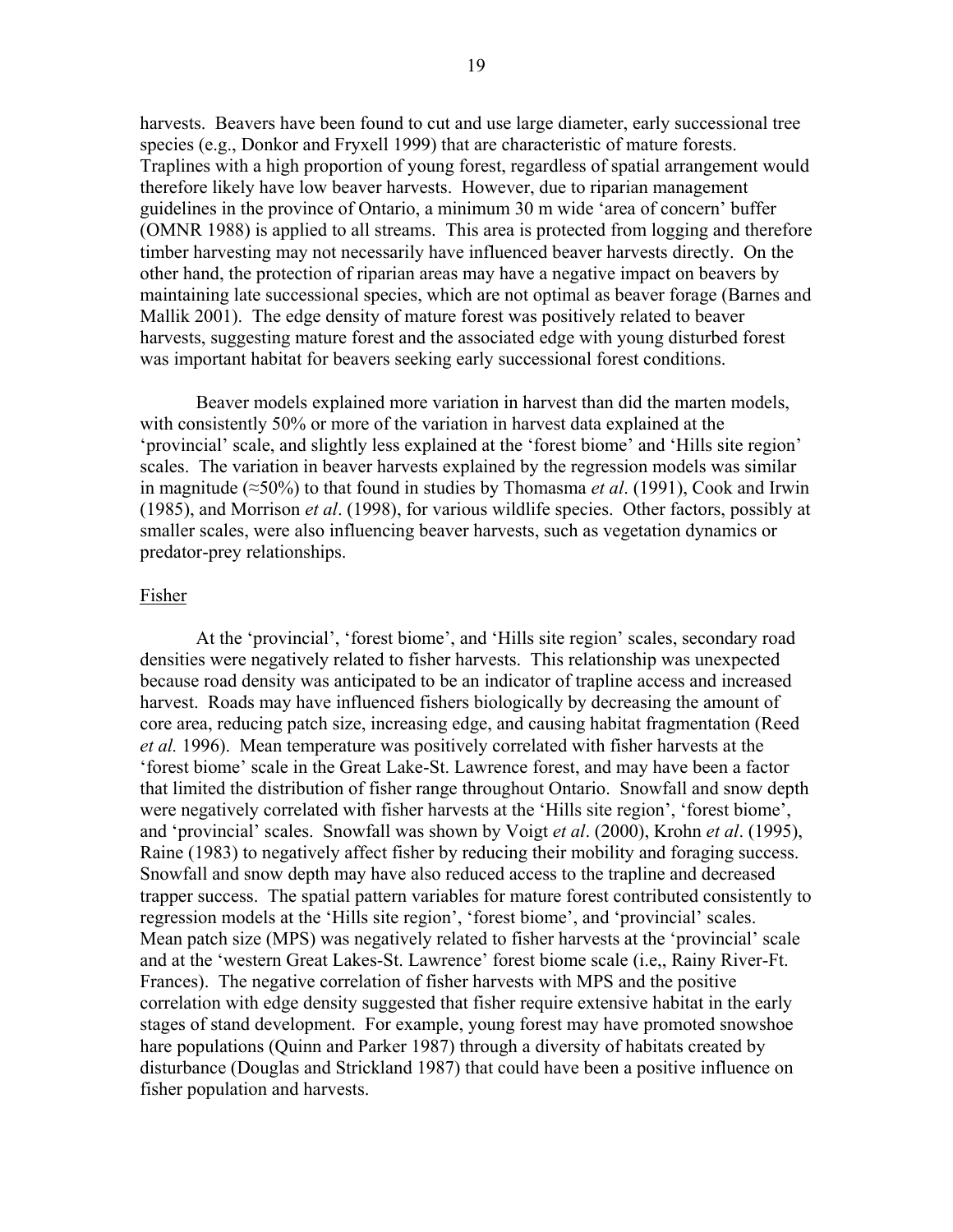harvests. Beavers have been found to cut and use large diameter, early successional tree species (e.g., Donkor and Fryxell 1999) that are characteristic of mature forests. Traplines with a high proportion of young forest, regardless of spatial arrangement would therefore likely have low beaver harvests. However, due to riparian management guidelines in the province of Ontario, a minimum 30 m wide 'area of concern' buffer (OMNR 1988) is applied to all streams. This area is protected from logging and therefore timber harvesting may not necessarily have influenced beaver harvests directly. On the other hand, the protection of riparian areas may have a negative impact on beavers by maintaining late successional species, which are not optimal as beaver forage (Barnes and Mallik 2001). The edge density of mature forest was positively related to beaver harvests, suggesting mature forest and the associated edge with young disturbed forest was important habitat for beavers seeking early successional forest conditions.

Beaver models explained more variation in harvest than did the marten models, with consistently 50% or more of the variation in harvest data explained at the 'provincial' scale, and slightly less explained at the 'forest biome' and 'Hills site region' scales. The variation in beaver harvests explained by the regression models was similar in magnitude (≈50%) to that found in studies by Thomasma *et al*. (1991), Cook and Irwin (1985), and Morrison *et al*. (1998), for various wildlife species. Other factors, possibly at smaller scales, were also influencing beaver harvests, such as vegetation dynamics or predator-prey relationships.

#### Fisher

At the 'provincial', 'forest biome', and 'Hills site region' scales, secondary road densities were negatively related to fisher harvests. This relationship was unexpected because road density was anticipated to be an indicator of trapline access and increased harvest. Roads may have influenced fishers biologically by decreasing the amount of core area, reducing patch size, increasing edge, and causing habitat fragmentation (Reed *et al.* 1996). Mean temperature was positively correlated with fisher harvests at the 'forest biome' scale in the Great Lake-St. Lawrence forest, and may have been a factor that limited the distribution of fisher range throughout Ontario. Snowfall and snow depth were negatively correlated with fisher harvests at the 'Hills site region', 'forest biome', and 'provincial' scales. Snowfall was shown by Voigt *et al*. (2000), Krohn *et al*. (1995), Raine (1983) to negatively affect fisher by reducing their mobility and foraging success. Snowfall and snow depth may have also reduced access to the trapline and decreased trapper success. The spatial pattern variables for mature forest contributed consistently to regression models at the 'Hills site region', 'forest biome', and 'provincial' scales. Mean patch size (MPS) was negatively related to fisher harvests at the 'provincial' scale and at the 'western Great Lakes-St. Lawrence' forest biome scale (i.e,, Rainy River-Ft. Frances). The negative correlation of fisher harvests with MPS and the positive correlation with edge density suggested that fisher require extensive habitat in the early stages of stand development. For example, young forest may have promoted snowshoe hare populations (Quinn and Parker 1987) through a diversity of habitats created by disturbance (Douglas and Strickland 1987) that could have been a positive influence on fisher population and harvests.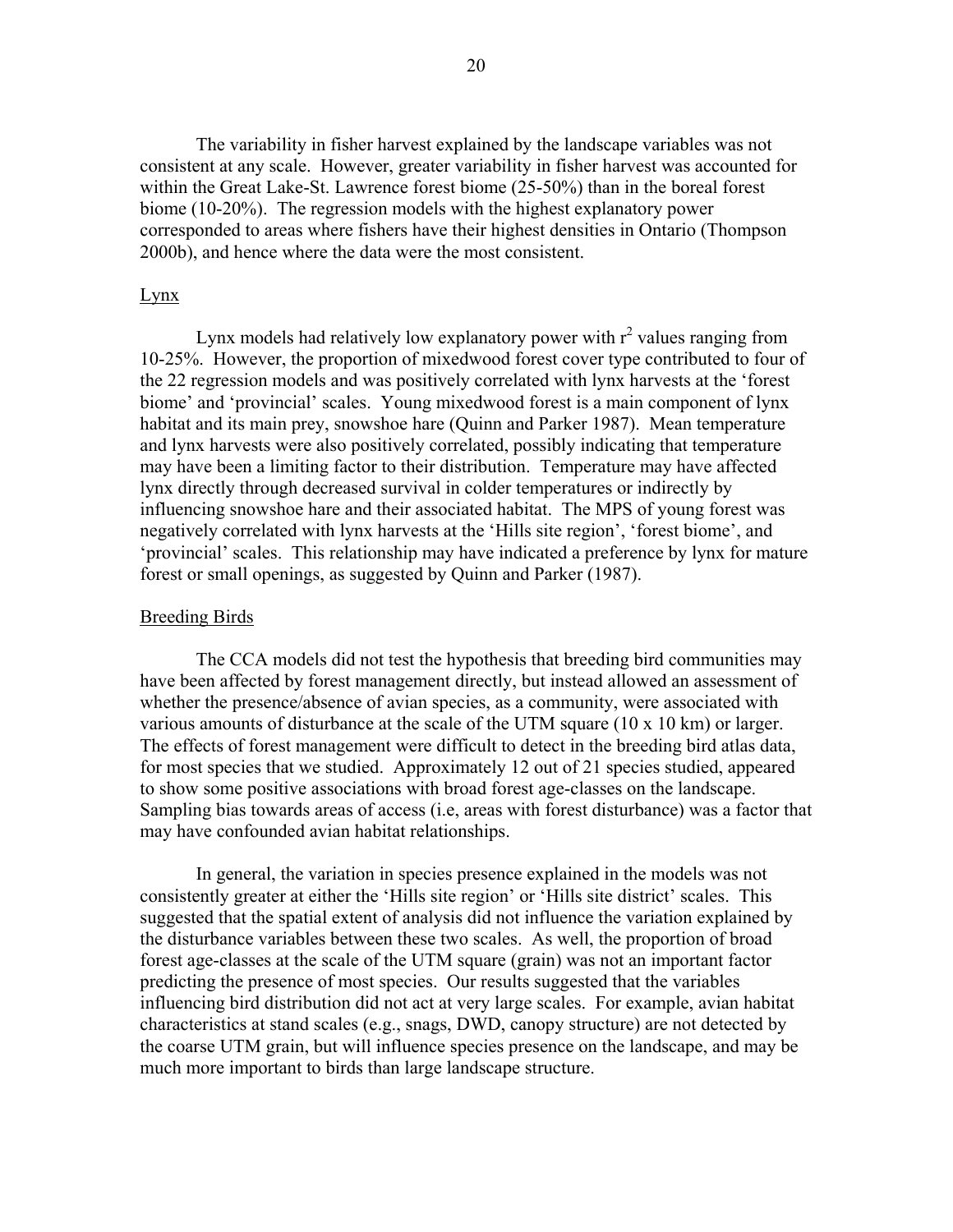The variability in fisher harvest explained by the landscape variables was not consistent at any scale. However, greater variability in fisher harvest was accounted for within the Great Lake-St. Lawrence forest biome (25-50%) than in the boreal forest biome (10-20%). The regression models with the highest explanatory power corresponded to areas where fishers have their highest densities in Ontario (Thompson 2000b), and hence where the data were the most consistent.

#### Lynx

Lynx models had relatively low explanatory power with  $r^2$  values ranging from 10-25%. However, the proportion of mixedwood forest cover type contributed to four of the 22 regression models and was positively correlated with lynx harvests at the 'forest biome' and 'provincial' scales. Young mixedwood forest is a main component of lynx habitat and its main prey, snowshoe hare (Quinn and Parker 1987). Mean temperature and lynx harvests were also positively correlated, possibly indicating that temperature may have been a limiting factor to their distribution. Temperature may have affected lynx directly through decreased survival in colder temperatures or indirectly by influencing snowshoe hare and their associated habitat. The MPS of young forest was negatively correlated with lynx harvests at the 'Hills site region', 'forest biome', and 'provincial' scales. This relationship may have indicated a preference by lynx for mature forest or small openings, as suggested by Quinn and Parker (1987).

# Breeding Birds

 The CCA models did not test the hypothesis that breeding bird communities may have been affected by forest management directly, but instead allowed an assessment of whether the presence/absence of avian species, as a community, were associated with various amounts of disturbance at the scale of the UTM square (10 x 10 km) or larger. The effects of forest management were difficult to detect in the breeding bird atlas data, for most species that we studied. Approximately 12 out of 21 species studied, appeared to show some positive associations with broad forest age-classes on the landscape. Sampling bias towards areas of access (i.e, areas with forest disturbance) was a factor that may have confounded avian habitat relationships.

In general, the variation in species presence explained in the models was not consistently greater at either the 'Hills site region' or 'Hills site district' scales. This suggested that the spatial extent of analysis did not influence the variation explained by the disturbance variables between these two scales. As well, the proportion of broad forest age-classes at the scale of the UTM square (grain) was not an important factor predicting the presence of most species. Our results suggested that the variables influencing bird distribution did not act at very large scales. For example, avian habitat characteristics at stand scales (e.g., snags, DWD, canopy structure) are not detected by the coarse UTM grain, but will influence species presence on the landscape, and may be much more important to birds than large landscape structure.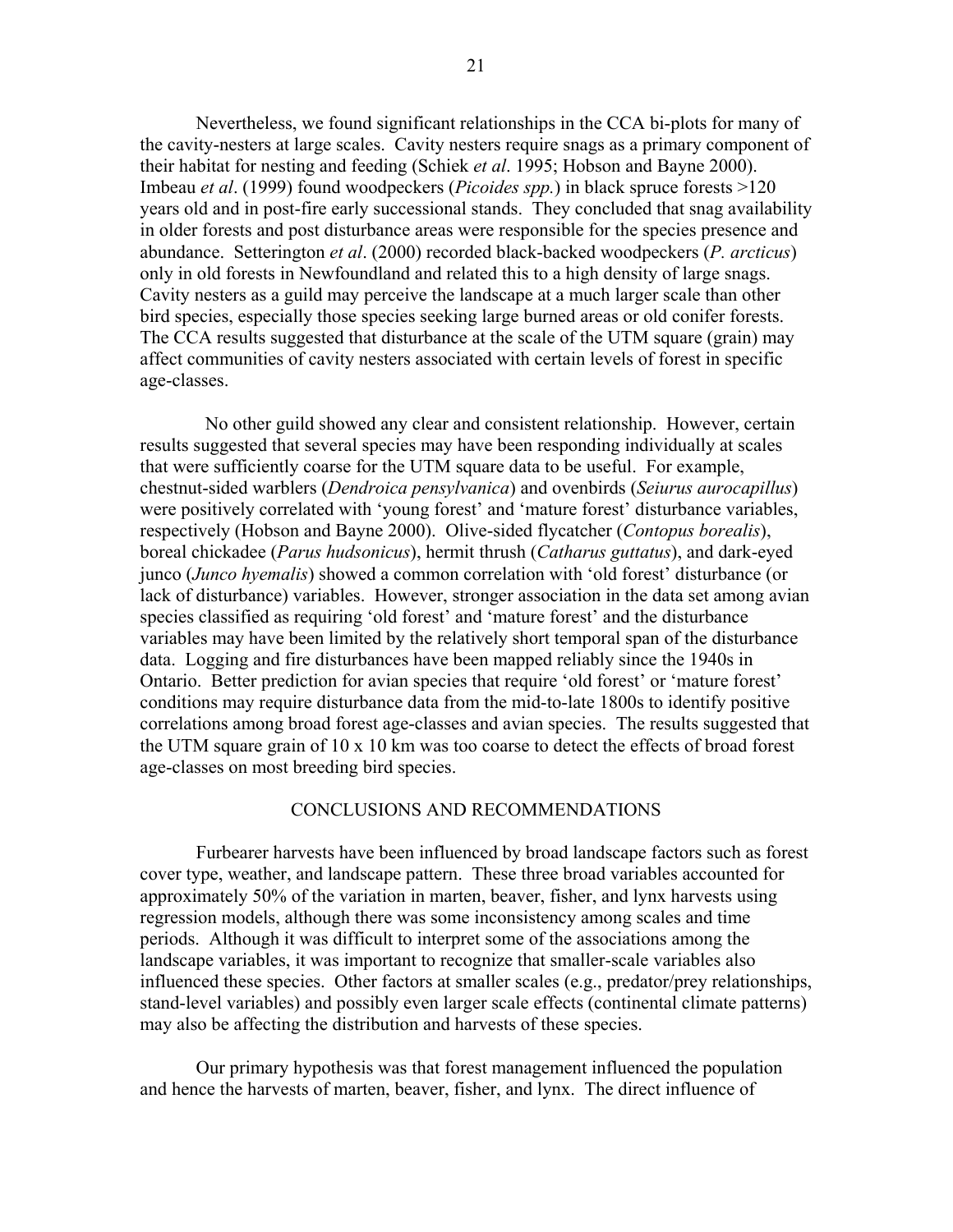Nevertheless, we found significant relationships in the CCA bi-plots for many of the cavity-nesters at large scales. Cavity nesters require snags as a primary component of their habitat for nesting and feeding (Schiek *et al*. 1995; Hobson and Bayne 2000). Imbeau *et al*. (1999) found woodpeckers (*Picoides spp.*) in black spruce forests >120 years old and in post-fire early successional stands. They concluded that snag availability in older forests and post disturbance areas were responsible for the species presence and abundance. Setterington *et al*. (2000) recorded black-backed woodpeckers (*P. arcticus*) only in old forests in Newfoundland and related this to a high density of large snags. Cavity nesters as a guild may perceive the landscape at a much larger scale than other bird species, especially those species seeking large burned areas or old conifer forests. The CCA results suggested that disturbance at the scale of the UTM square (grain) may affect communities of cavity nesters associated with certain levels of forest in specific age-classes.

 No other guild showed any clear and consistent relationship. However, certain results suggested that several species may have been responding individually at scales that were sufficiently coarse for the UTM square data to be useful. For example, chestnut-sided warblers (*Dendroica pensylvanica*) and ovenbirds (*Seiurus aurocapillus*) were positively correlated with 'young forest' and 'mature forest' disturbance variables, respectively (Hobson and Bayne 2000). Olive-sided flycatcher (*Contopus borealis*), boreal chickadee (*Parus hudsonicus*), hermit thrush (*Catharus guttatus*), and dark-eyed junco (*Junco hyemalis*) showed a common correlation with 'old forest' disturbance (or lack of disturbance) variables. However, stronger association in the data set among avian species classified as requiring 'old forest' and 'mature forest' and the disturbance variables may have been limited by the relatively short temporal span of the disturbance data. Logging and fire disturbances have been mapped reliably since the 1940s in Ontario. Better prediction for avian species that require 'old forest' or 'mature forest' conditions may require disturbance data from the mid-to-late 1800s to identify positive correlations among broad forest age-classes and avian species. The results suggested that the UTM square grain of 10 x 10 km was too coarse to detect the effects of broad forest age-classes on most breeding bird species.

# CONCLUSIONS AND RECOMMENDATIONS

Furbearer harvests have been influenced by broad landscape factors such as forest cover type, weather, and landscape pattern. These three broad variables accounted for approximately 50% of the variation in marten, beaver, fisher, and lynx harvests using regression models, although there was some inconsistency among scales and time periods. Although it was difficult to interpret some of the associations among the landscape variables, it was important to recognize that smaller-scale variables also influenced these species. Other factors at smaller scales (e.g., predator/prey relationships, stand-level variables) and possibly even larger scale effects (continental climate patterns) may also be affecting the distribution and harvests of these species.

Our primary hypothesis was that forest management influenced the population and hence the harvests of marten, beaver, fisher, and lynx. The direct influence of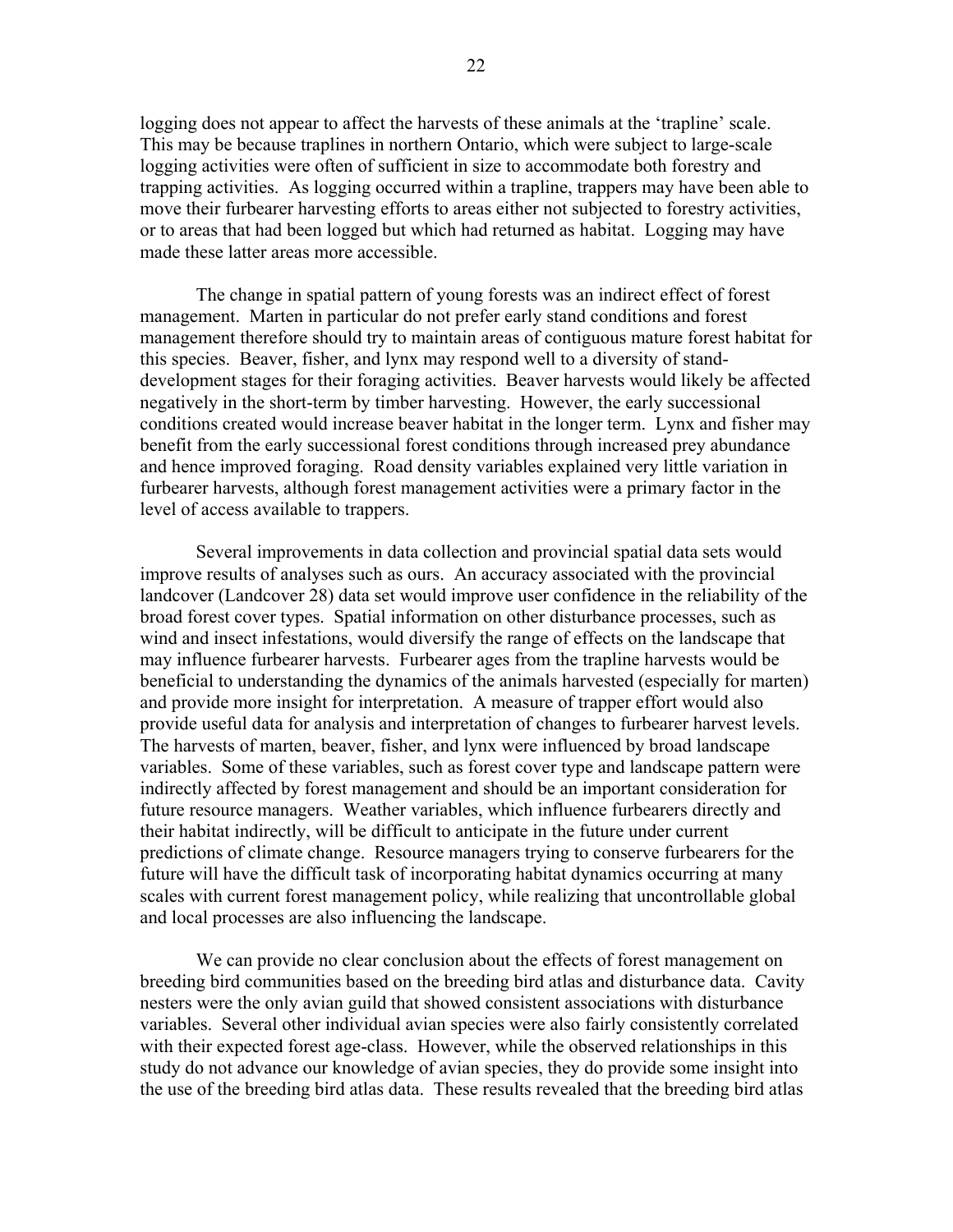logging does not appear to affect the harvests of these animals at the 'trapline' scale. This may be because traplines in northern Ontario, which were subject to large-scale logging activities were often of sufficient in size to accommodate both forestry and trapping activities. As logging occurred within a trapline, trappers may have been able to move their furbearer harvesting efforts to areas either not subjected to forestry activities, or to areas that had been logged but which had returned as habitat. Logging may have made these latter areas more accessible.

The change in spatial pattern of young forests was an indirect effect of forest management. Marten in particular do not prefer early stand conditions and forest management therefore should try to maintain areas of contiguous mature forest habitat for this species. Beaver, fisher, and lynx may respond well to a diversity of standdevelopment stages for their foraging activities. Beaver harvests would likely be affected negatively in the short-term by timber harvesting. However, the early successional conditions created would increase beaver habitat in the longer term. Lynx and fisher may benefit from the early successional forest conditions through increased prey abundance and hence improved foraging. Road density variables explained very little variation in furbearer harvests, although forest management activities were a primary factor in the level of access available to trappers.

Several improvements in data collection and provincial spatial data sets would improve results of analyses such as ours. An accuracy associated with the provincial landcover (Landcover 28) data set would improve user confidence in the reliability of the broad forest cover types. Spatial information on other disturbance processes, such as wind and insect infestations, would diversify the range of effects on the landscape that may influence furbearer harvests. Furbearer ages from the trapline harvests would be beneficial to understanding the dynamics of the animals harvested (especially for marten) and provide more insight for interpretation. A measure of trapper effort would also provide useful data for analysis and interpretation of changes to furbearer harvest levels. The harvests of marten, beaver, fisher, and lynx were influenced by broad landscape variables. Some of these variables, such as forest cover type and landscape pattern were indirectly affected by forest management and should be an important consideration for future resource managers. Weather variables, which influence furbearers directly and their habitat indirectly, will be difficult to anticipate in the future under current predictions of climate change. Resource managers trying to conserve furbearers for the future will have the difficult task of incorporating habitat dynamics occurring at many scales with current forest management policy, while realizing that uncontrollable global and local processes are also influencing the landscape.

We can provide no clear conclusion about the effects of forest management on breeding bird communities based on the breeding bird atlas and disturbance data. Cavity nesters were the only avian guild that showed consistent associations with disturbance variables. Several other individual avian species were also fairly consistently correlated with their expected forest age-class. However, while the observed relationships in this study do not advance our knowledge of avian species, they do provide some insight into the use of the breeding bird atlas data. These results revealed that the breeding bird atlas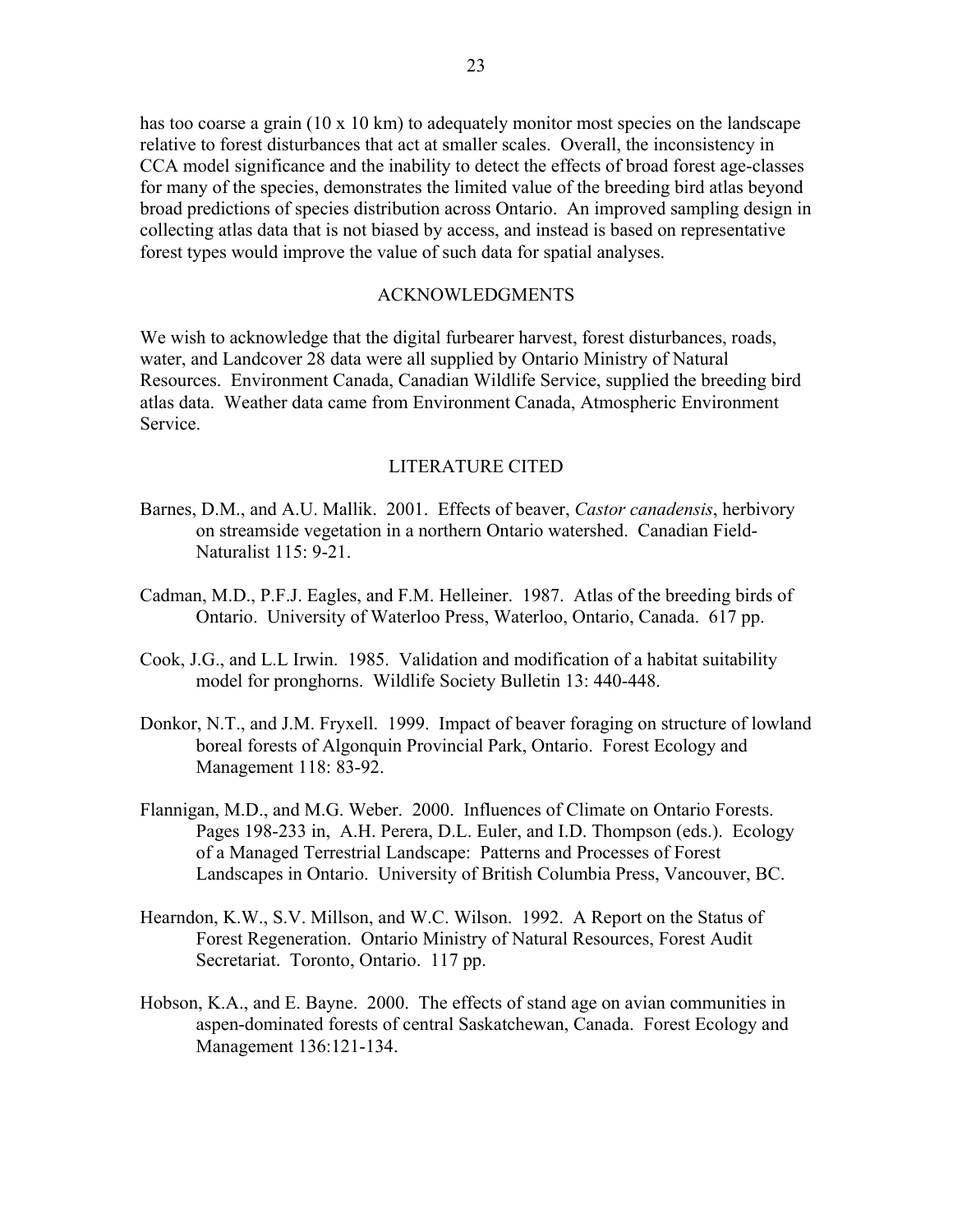has too coarse a grain (10 x 10 km) to adequately monitor most species on the landscape relative to forest disturbances that act at smaller scales. Overall, the inconsistency in CCA model significance and the inability to detect the effects of broad forest age-classes for many of the species, demonstrates the limited value of the breeding bird atlas beyond broad predictions of species distribution across Ontario. An improved sampling design in collecting atlas data that is not biased by access, and instead is based on representative forest types would improve the value of such data for spatial analyses.

# ACKNOWLEDGMENTS

We wish to acknowledge that the digital furbearer harvest, forest disturbances, roads, water, and Landcover 28 data were all supplied by Ontario Ministry of Natural Resources. Environment Canada, Canadian Wildlife Service, supplied the breeding bird atlas data. Weather data came from Environment Canada, Atmospheric Environment Service.

# LITERATURE CITED

- Barnes, D.M., and A.U. Mallik. 2001. Effects of beaver, *Castor canadensis*, herbivory on streamside vegetation in a northern Ontario watershed. Canadian Field-Naturalist 115: 9-21.
- Cadman, M.D., P.F.J. Eagles, and F.M. Helleiner. 1987. Atlas of the breeding birds of Ontario. University of Waterloo Press, Waterloo, Ontario, Canada. 617 pp.
- Cook, J.G., and L.L Irwin. 1985. Validation and modification of a habitat suitability model for pronghorns. Wildlife Society Bulletin 13: 440-448.
- Donkor, N.T., and J.M. Fryxell. 1999. Impact of beaver foraging on structure of lowland boreal forests of Algonquin Provincial Park, Ontario. Forest Ecology and Management 118: 83-92.
- Flannigan, M.D., and M.G. Weber. 2000. Influences of Climate on Ontario Forests. Pages 198-233 in, A.H. Perera, D.L. Euler, and I.D. Thompson (eds.). Ecology of a Managed Terrestrial Landscape: Patterns and Processes of Forest Landscapes in Ontario. University of British Columbia Press, Vancouver, BC.
- Hearndon, K.W., S.V. Millson, and W.C. Wilson. 1992. A Report on the Status of Forest Regeneration. Ontario Ministry of Natural Resources, Forest Audit Secretariat. Toronto, Ontario. 117 pp.
- Hobson, K.A., and E. Bayne. 2000. The effects of stand age on avian communities in aspen-dominated forests of central Saskatchewan, Canada. Forest Ecology and Management 136:121-134.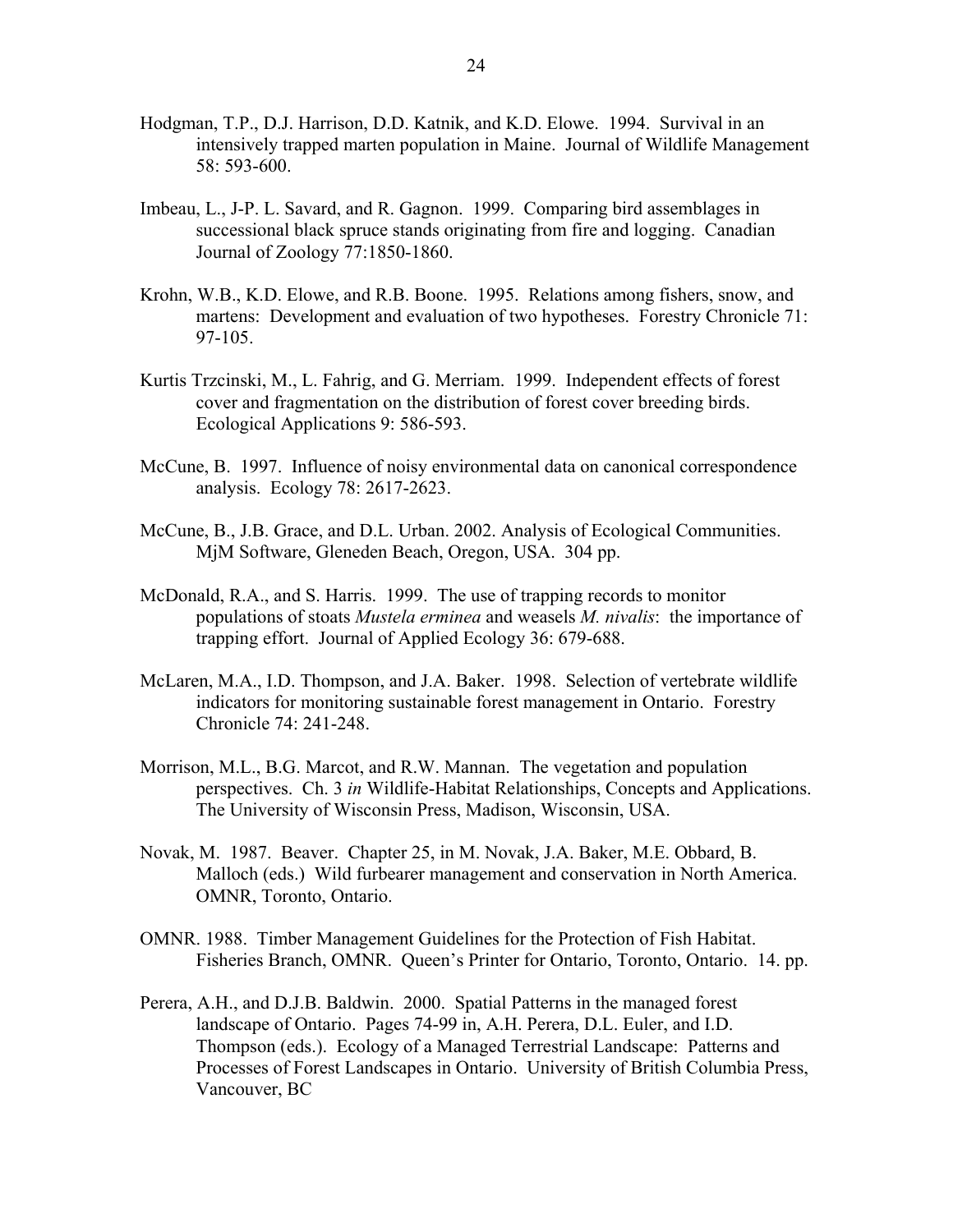- Hodgman, T.P., D.J. Harrison, D.D. Katnik, and K.D. Elowe. 1994. Survival in an intensively trapped marten population in Maine. Journal of Wildlife Management 58: 593-600.
- Imbeau, L., J-P. L. Savard, and R. Gagnon. 1999. Comparing bird assemblages in successional black spruce stands originating from fire and logging. Canadian Journal of Zoology 77:1850-1860.
- Krohn, W.B., K.D. Elowe, and R.B. Boone. 1995. Relations among fishers, snow, and martens: Development and evaluation of two hypotheses. Forestry Chronicle 71: 97-105.
- Kurtis Trzcinski, M., L. Fahrig, and G. Merriam. 1999. Independent effects of forest cover and fragmentation on the distribution of forest cover breeding birds. Ecological Applications 9: 586-593.
- McCune, B. 1997. Influence of noisy environmental data on canonical correspondence analysis. Ecology 78: 2617-2623.
- McCune, B., J.B. Grace, and D.L. Urban. 2002. Analysis of Ecological Communities. MjM Software, Gleneden Beach, Oregon, USA. 304 pp.
- McDonald, R.A., and S. Harris. 1999. The use of trapping records to monitor populations of stoats *Mustela erminea* and weasels *M. nivalis*: the importance of trapping effort. Journal of Applied Ecology 36: 679-688.
- McLaren, M.A., I.D. Thompson, and J.A. Baker. 1998. Selection of vertebrate wildlife indicators for monitoring sustainable forest management in Ontario. Forestry Chronicle 74: 241-248.
- Morrison, M.L., B.G. Marcot, and R.W. Mannan. The vegetation and population perspectives. Ch. 3 *in* Wildlife-Habitat Relationships, Concepts and Applications. The University of Wisconsin Press, Madison, Wisconsin, USA.
- Novak, M. 1987. Beaver. Chapter 25, in M. Novak, J.A. Baker, M.E. Obbard, B. Malloch (eds.) Wild furbearer management and conservation in North America. OMNR, Toronto, Ontario.
- OMNR. 1988. Timber Management Guidelines for the Protection of Fish Habitat. Fisheries Branch, OMNR. Queen's Printer for Ontario, Toronto, Ontario. 14. pp.
- Perera, A.H., and D.J.B. Baldwin. 2000. Spatial Patterns in the managed forest landscape of Ontario. Pages 74-99 in, A.H. Perera, D.L. Euler, and I.D. Thompson (eds.). Ecology of a Managed Terrestrial Landscape: Patterns and Processes of Forest Landscapes in Ontario. University of British Columbia Press, Vancouver, BC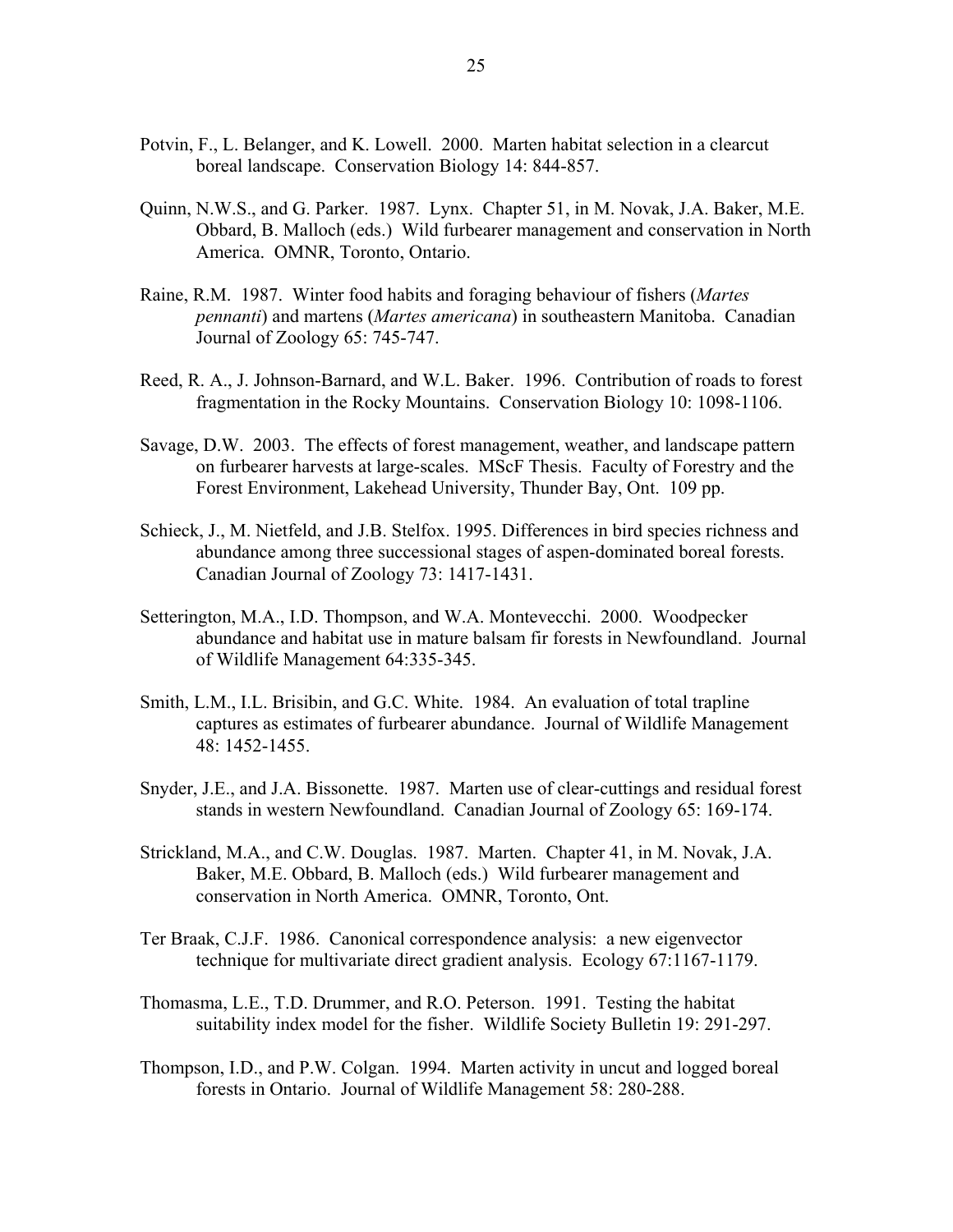- Potvin, F., L. Belanger, and K. Lowell. 2000. Marten habitat selection in a clearcut boreal landscape. Conservation Biology 14: 844-857.
- Quinn, N.W.S., and G. Parker. 1987. Lynx. Chapter 51, in M. Novak, J.A. Baker, M.E. Obbard, B. Malloch (eds.) Wild furbearer management and conservation in North America. OMNR, Toronto, Ontario.
- Raine, R.M. 1987. Winter food habits and foraging behaviour of fishers (*Martes pennanti*) and martens (*Martes americana*) in southeastern Manitoba. Canadian Journal of Zoology 65: 745-747.
- Reed, R. A., J. Johnson-Barnard, and W.L. Baker. 1996. Contribution of roads to forest fragmentation in the Rocky Mountains. Conservation Biology 10: 1098-1106.
- Savage, D.W. 2003. The effects of forest management, weather, and landscape pattern on furbearer harvests at large-scales. MScF Thesis. Faculty of Forestry and the Forest Environment, Lakehead University, Thunder Bay, Ont. 109 pp.
- Schieck, J., M. Nietfeld, and J.B. Stelfox. 1995. Differences in bird species richness and abundance among three successional stages of aspen-dominated boreal forests. Canadian Journal of Zoology 73: 1417-1431.
- Setterington, M.A., I.D. Thompson, and W.A. Montevecchi. 2000. Woodpecker abundance and habitat use in mature balsam fir forests in Newfoundland. Journal of Wildlife Management 64:335-345.
- Smith, L.M., I.L. Brisibin, and G.C. White. 1984. An evaluation of total trapline captures as estimates of furbearer abundance. Journal of Wildlife Management 48: 1452-1455.
- Snyder, J.E., and J.A. Bissonette. 1987. Marten use of clear-cuttings and residual forest stands in western Newfoundland. Canadian Journal of Zoology 65: 169-174.
- Strickland, M.A., and C.W. Douglas. 1987. Marten. Chapter 41, in M. Novak, J.A. Baker, M.E. Obbard, B. Malloch (eds.) Wild furbearer management and conservation in North America. OMNR, Toronto, Ont.
- Ter Braak, C.J.F. 1986. Canonical correspondence analysis: a new eigenvector technique for multivariate direct gradient analysis. Ecology 67:1167-1179.
- Thomasma, L.E., T.D. Drummer, and R.O. Peterson. 1991. Testing the habitat suitability index model for the fisher. Wildlife Society Bulletin 19: 291-297.
- Thompson, I.D., and P.W. Colgan. 1994. Marten activity in uncut and logged boreal forests in Ontario. Journal of Wildlife Management 58: 280-288.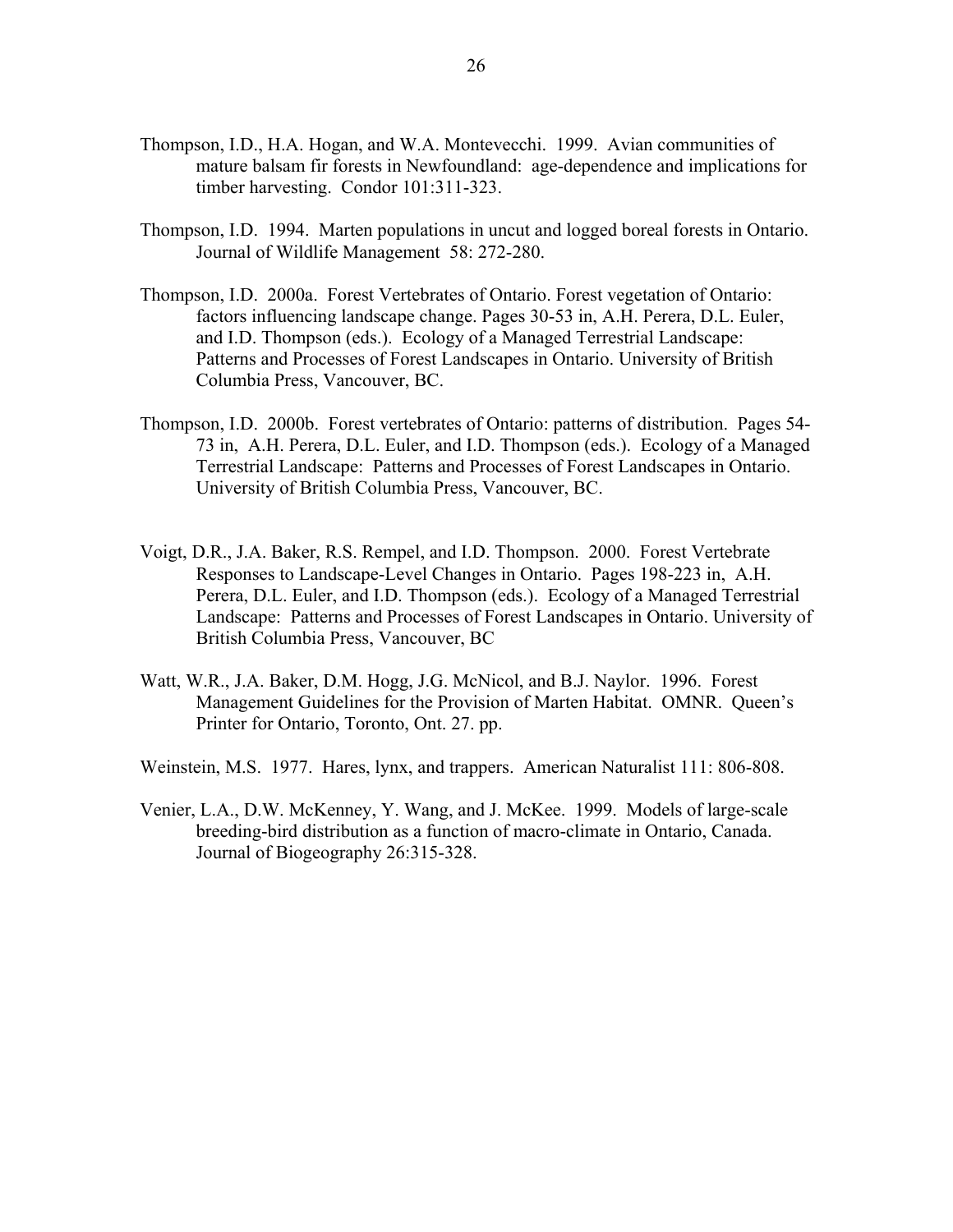- Thompson, I.D., H.A. Hogan, and W.A. Montevecchi. 1999. Avian communities of mature balsam fir forests in Newfoundland: age-dependence and implications for timber harvesting. Condor 101:311-323.
- Thompson, I.D. 1994. Marten populations in uncut and logged boreal forests in Ontario. Journal of Wildlife Management 58: 272-280.
- Thompson, I.D. 2000a. Forest Vertebrates of Ontario. Forest vegetation of Ontario: factors influencing landscape change. Pages 30-53 in, A.H. Perera, D.L. Euler, and I.D. Thompson (eds.). Ecology of a Managed Terrestrial Landscape: Patterns and Processes of Forest Landscapes in Ontario. University of British Columbia Press, Vancouver, BC.
- Thompson, I.D. 2000b. Forest vertebrates of Ontario: patterns of distribution. Pages 54- 73 in, A.H. Perera, D.L. Euler, and I.D. Thompson (eds.). Ecology of a Managed Terrestrial Landscape: Patterns and Processes of Forest Landscapes in Ontario. University of British Columbia Press, Vancouver, BC.
- Voigt, D.R., J.A. Baker, R.S. Rempel, and I.D. Thompson. 2000. Forest Vertebrate Responses to Landscape-Level Changes in Ontario. Pages 198-223 in, A.H. Perera, D.L. Euler, and I.D. Thompson (eds.). Ecology of a Managed Terrestrial Landscape: Patterns and Processes of Forest Landscapes in Ontario. University of British Columbia Press, Vancouver, BC
- Watt, W.R., J.A. Baker, D.M. Hogg, J.G. McNicol, and B.J. Naylor. 1996. Forest Management Guidelines for the Provision of Marten Habitat. OMNR. Queen's Printer for Ontario, Toronto, Ont. 27. pp.
- Weinstein, M.S. 1977. Hares, lynx, and trappers. American Naturalist 111: 806-808.
- Venier, L.A., D.W. McKenney, Y. Wang, and J. McKee. 1999. Models of large-scale breeding-bird distribution as a function of macro-climate in Ontario, Canada. Journal of Biogeography 26:315-328.